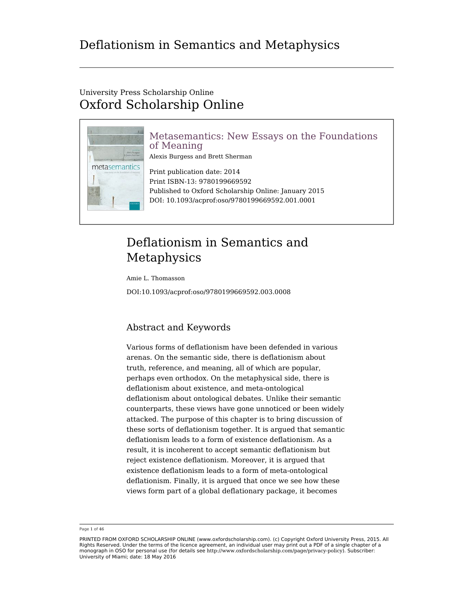### University Press Scholarship Online Oxford Scholarship Online



Metasemantics: New Essays on the Foundations of Meaning

Alexis Burgess and Brett Sherman

Print publication date: 2014 Print ISBN-13: 9780199669592 Published to Oxford Scholarship Online: January 2015 DOI: 10.1093/acprof:oso/9780199669592.001.0001

# Deflationism in Semantics and **Metaphysics**

Amie L. Thomasson

DOI:10.1093/acprof:oso/9780199669592.003.0008

### Abstract and Keywords

Various forms of deflationism have been defended in various arenas. On the semantic side, there is deflationism about truth, reference, and meaning, all of which are popular, perhaps even orthodox. On the metaphysical side, there is deflationism about existence, and meta-ontological deflationism about ontological debates. Unlike their semantic counterparts, these views have gone unnoticed or been widely attacked. The purpose of this chapter is to bring discussion of these sorts of deflationism together. It is argued that semantic deflationism leads to a form of existence deflationism. As a result, it is incoherent to accept semantic deflationism but reject existence deflationism. Moreover, it is argued that existence deflationism leads to a form of meta-ontological deflationism. Finally, it is argued that once we see how these views form part of a global deflationary package, it becomes

Page 1 of 46

PRINTED FROM OXFORD SCHOLARSHIP ONLINE (www.oxfordscholarship.com). (c) Copyright Oxford University Press, 2015. All Rights Reserved. Under the terms of the licence agreement, an individual user may print out a PDF of a single chapter of a monograph in OSO for personal use (for details see http://www.oxfordscholarship.com/page/privacy-policy). Subscriber: University of Miami; date: 18 May 2016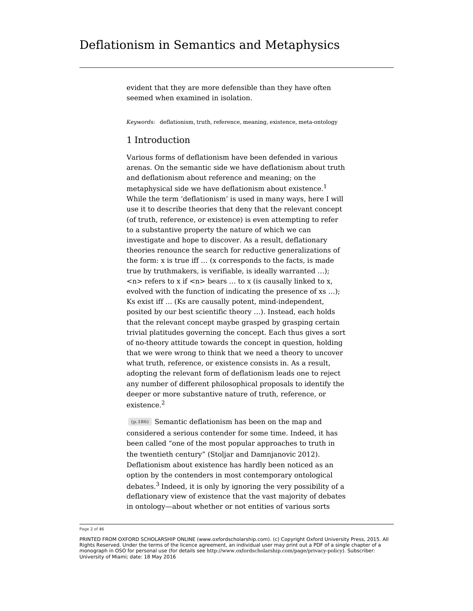evident that they are more defensible than they have often seemed when examined in isolation.

Keywords: deflationism, truth, reference, meaning, existence, meta-ontology

#### 1 Introduction

Various forms of deflationism have been defended in various arenas. On the semantic side we have deflationism about truth and deflationism about reference and meaning; on the metaphysical side we have deflationism about existence.<sup>1</sup> While the term 'deflationism' is used in many ways, here I will use it to describe theories that deny that the relevant concept (of truth, reference, or existence) is even attempting to refer to a substantive property the nature of which we can investigate and hope to discover. As a result, deflationary theories renounce the search for reductive generalizations of the form: x is true iff … (x corresponds to the facts, is made true by truthmakers, is verifiable, is ideally warranted …);  $\langle n \rangle$  refers to x if  $\langle n \rangle$  bears ... to x (is causally linked to x, evolved with the function of indicating the presence of xs …); Ks exist iff ... (Ks are causally potent, mind-independent, posited by our best scientific theory …). Instead, each holds that the relevant concept maybe grasped by grasping certain trivial platitudes governing the concept. Each thus gives a sort of no-theory attitude towards the concept in question, holding that we were wrong to think that we need a theory to uncover what truth, reference, or existence consists in. As a result, adopting the relevant form of deflationism leads one to reject any number of different philosophical proposals to identify the deeper or more substantive nature of truth, reference, or existence.2

(p.186) Semantic deflationism has been on the map and considered a serious contender for some time. Indeed, it has been called "one of the most popular approaches to truth in the twentieth century" (Stoljar and Damnjanovic 2012). Deflationism about existence has hardly been noticed as an option by the contenders in most contemporary ontological debates.<sup>3</sup> Indeed, it is only by ignoring the very possibility of a deflationary view of existence that the vast majority of debates in ontology—about whether or not entities of various sorts

Page 2 of 46

PRINTED FROM OXFORD SCHOLARSHIP ONLINE (www.oxfordscholarship.com). (c) Copyright Oxford University Press, 2015. All Rights Reserved. Under the terms of the licence agreement, an individual user may print out a PDF of a single chapter of a monograph in OSO for personal use (for details see http://www.oxfordscholarship.com/page/privacy-policy). Subscriber: University of Miami; date: 18 May 2016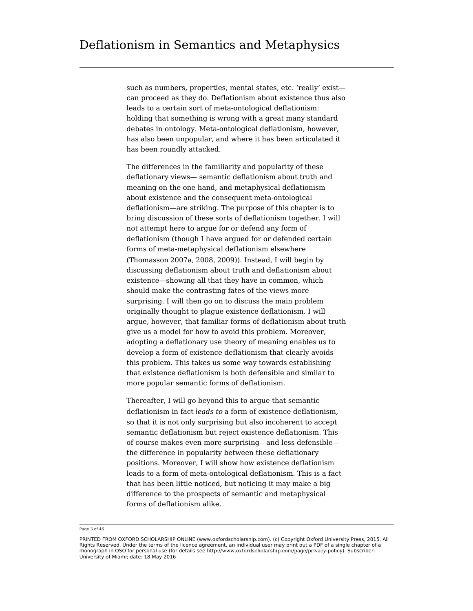such as numbers, properties, mental states, etc. 'really' existcan proceed as they do. Deflationism about existence thus also leads to a certain sort of meta-ontological deflationism: holding that something is wrong with a great many standard debates in ontology. Meta-ontological deflationism, however, has also been unpopular, and where it has been articulated it has been roundly attacked.

The differences in the familiarity and popularity of these deflationary views— semantic deflationism about truth and meaning on the one hand, and metaphysical deflationism about existence and the consequent meta-ontological deflationism—are striking. The purpose of this chapter is to bring discussion of these sorts of deflationism together. I will not attempt here to argue for or defend any form of deflationism (though I have argued for or defended certain forms of meta-metaphysical deflationism elsewhere (Thomasson 2007a, 2008, 2009)). Instead, I will begin by discussing deflationism about truth and deflationism about existence—showing all that they have in common, which should make the contrasting fates of the views more surprising. I will then go on to discuss the main problem originally thought to plague existence deflationism. I will argue, however, that familiar forms of deflationism about truth give us a model for how to avoid this problem. Moreover, adopting a deflationary use theory of meaning enables us to develop a form of existence deflationism that clearly avoids this problem. This takes us some way towards establishing that existence deflationism is both defensible and similar to more popular semantic forms of deflationism.

Thereafter, I will go beyond this to argue that semantic deflationism in fact leads to a form of existence deflationism, so that it is not only surprising but also incoherent to accept semantic deflationism but reject existence deflationism. This of course makes even more surprising—and less defensible the difference in popularity between these deflationary positions. Moreover, I will show how existence deflationism leads to a form of meta-ontological deflationism. This is a fact that has been little noticed, but noticing it may make a big difference to the prospects of semantic and metaphysical forms of deflationism alike.

Page 3 of 46

PRINTED FROM OXFORD SCHOLARSHIP ONLINE (www.oxfordscholarship.com). (c) Copyright Oxford University Press, 2015. All Rights Reserved. Under the terms of the licence agreement, an individual user may print out a PDF of a single chapter of a monograph in OSO for personal use (for details see http://www.oxfordscholarship.com/page/privacy-policy). Subscriber: University of Miami; date: 18 May 2016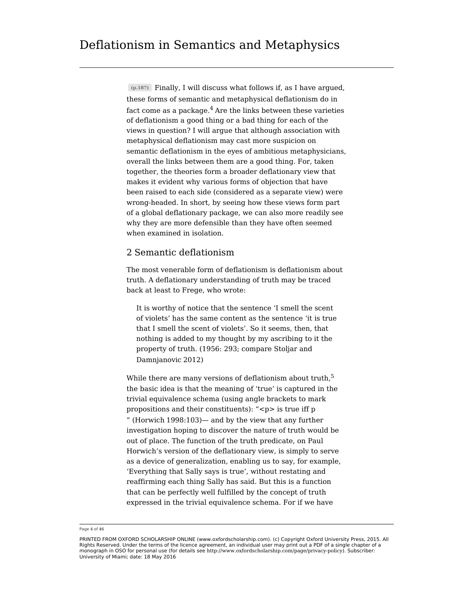(p.187) Finally, I will discuss what follows if, as I have argued, these forms of semantic and metaphysical deflationism do in fact come as a package. $4$  Are the links between these varieties of deflationism a good thing or a bad thing for each of the views in question? I will argue that although association with metaphysical deflationism may cast more suspicion on semantic deflationism in the eyes of ambitious metaphysicians, overall the links between them are a good thing. For, taken together, the theories form a broader deflationary view that makes it evident why various forms of objection that have been raised to each side (considered as a separate view) were wrong-headed. In short, by seeing how these views form part of a global deflationary package, we can also more readily see why they are more defensible than they have often seemed when examined in isolation.

#### 2 Semantic deflationism

The most venerable form of deflationism is deflationism about truth. A deflationary understanding of truth may be traced back at least to Frege, who wrote:

It is worthy of notice that the sentence 'I smell the scent of violets' has the same content as the sentence 'it is true that I smell the scent of violets'. So it seems, then, that nothing is added to my thought by my ascribing to it the property of truth. (1956: 293; compare Stoljar and Damnjanovic 2012)

While there are many versions of deflationism about truth,<sup>5</sup> the basic idea is that the meaning of 'true' is captured in the trivial equivalence schema (using angle brackets to mark propositions and their constituents): " $is true iff p$ " (Horwich 1998:103)— and by the view that any further investigation hoping to discover the nature of truth would be out of place. The function of the truth predicate, on Paul Horwich's version of the deflationary view, is simply to serve as a device of generalization, enabling us to say, for example, 'Everything that Sally says is true', without restating and reaffirming each thing Sally has said. But this is a function that can be perfectly well fulfilled by the concept of truth expressed in the trivial equivalence schema. For if we have

Page 4 of 46

PRINTED FROM OXFORD SCHOLARSHIP ONLINE (www.oxfordscholarship.com). (c) Copyright Oxford University Press, 2015. All Rights Reserved. Under the terms of the licence agreement, an individual user may print out a PDF of a single chapter of a monograph in OSO for personal use (for details see http://www.oxfordscholarship.com/page/privacy-policy). Subscriber: University of Miami; date: 18 May 2016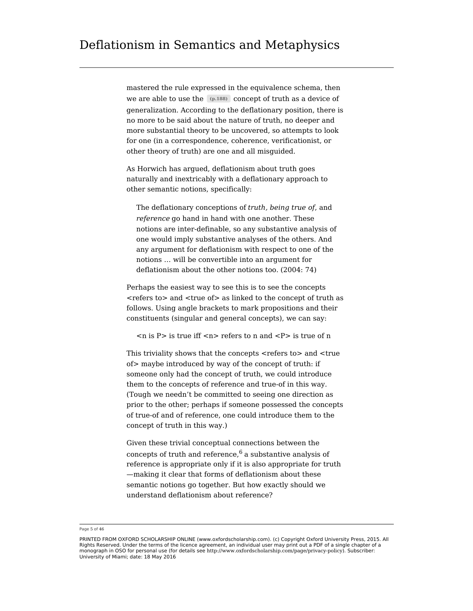mastered the rule expressed in the equivalence schema, then we are able to use the (p.188) concept of truth as a device of generalization. According to the deflationary position, there is no more to be said about the nature of truth, no deeper and more substantial theory to be uncovered, so attempts to look for one (in a correspondence, coherence, verificationist, or other theory of truth) are one and all misguided.

As Horwich has argued, deflationism about truth goes naturally and inextricably with a deflationary approach to other semantic notions, specifically:

The deflationary conceptions of truth, being true of, and reference go hand in hand with one another. These notions are inter-definable, so any substantive analysis of one would imply substantive analyses of the others. And any argument for deflationism with respect to one of the notions … will be convertible into an argument for deflationism about the other notions too. (2004: 74)

Perhaps the easiest way to see this is to see the concepts <refers to> and <true of> as linked to the concept of truth as follows. Using angle brackets to mark propositions and their constituents (singular and general concepts), we can say:

 $\langle$  <n is P> is true iff  $\langle$ n> refers to n and  $\langle$ P> is true of n

This triviality shows that the concepts <refers to > and <true of> maybe introduced by way of the concept of truth: if someone only had the concept of truth, we could introduce them to the concepts of reference and true-of in this way. (Tough we needn't be committed to seeing one direction as prior to the other; perhaps if someone possessed the concepts of true-of and of reference, one could introduce them to the concept of truth in this way.)

Given these trivial conceptual connections between the concepts of truth and reference,  $6$  a substantive analysis of reference is appropriate only if it is also appropriate for truth —making it clear that forms of deflationism about these semantic notions go together. But how exactly should we understand deflationism about reference?

Page 5 of 46

PRINTED FROM OXFORD SCHOLARSHIP ONLINE (www.oxfordscholarship.com). (c) Copyright Oxford University Press, 2015. All Rights Reserved. Under the terms of the licence agreement, an individual user may print out a PDF of a single chapter of a monograph in OSO for personal use (for details see http://www.oxfordscholarship.com/page/privacy-policy). Subscriber: University of Miami; date: 18 May 2016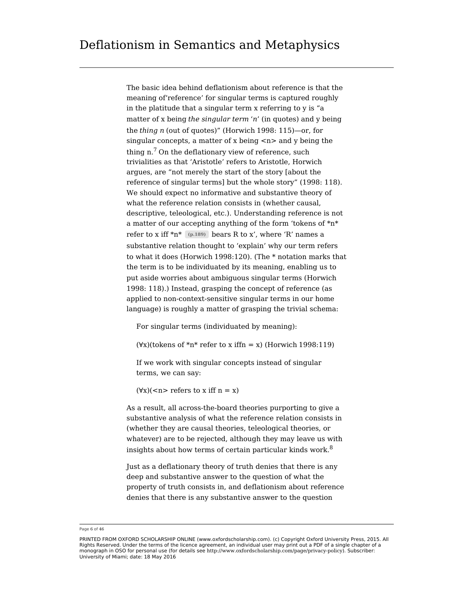The basic idea behind deflationism about reference is that the meaning of'reference' for singular terms is captured roughly in the platitude that a singular term x referring to y is "a matter of x being the singular term 'n' (in quotes) and y being the thing n (out of quotes)" (Horwich 1998: 115)—or, for singular concepts, a matter of x being  $\langle n \rangle$  and y being the thing  $n^7$  On the deflationary view of reference, such trivialities as that 'Aristotle' refers to Aristotle, Horwich argues, are "not merely the start of the story [about the reference of singular terms] but the whole story" (1998: 118). We should expect no informative and substantive theory of what the reference relation consists in (whether causal, descriptive, teleological, etc.). Understanding reference is not a matter of our accepting anything of the form 'tokens of \*n\* refer to x iff  $n^*$  (p.189) bears R to x', where 'R' names a substantive relation thought to 'explain' why our term refers to what it does (Horwich 1998:120). (The \* notation marks that the term is to be individuated by its meaning, enabling us to put aside worries about ambiguous singular terms (Horwich 1998: 118).) Instead, grasping the concept of reference (as applied to non-context-sensitive singular terms in our home language) is roughly a matter of grasping the trivial schema:

For singular terms (individuated by meaning):

 $(\forall x)$ (tokens of \*n\* refer to x iffn = x) (Horwich 1998:119)

If we work with singular concepts instead of singular terms, we can say:

 $(\forall x)(\le n$  refers to x iff  $n = x)$ 

As a result, all across-the-board theories purporting to give a substantive analysis of what the reference relation consists in (whether they are causal theories, teleological theories, or whatever) are to be rejected, although they may leave us with insights about how terms of certain particular kinds work.<sup>8</sup>

Just as a deflationary theory of truth denies that there is any deep and substantive answer to the question of what the property of truth consists in, and deflationism about reference denies that there is any substantive answer to the question

Page 6 of 46

PRINTED FROM OXFORD SCHOLARSHIP ONLINE (www.oxfordscholarship.com). (c) Copyright Oxford University Press, 2015. All Rights Reserved. Under the terms of the licence agreement, an individual user may print out a PDF of a single chapter of a monograph in OSO for personal use (for details see http://www.oxfordscholarship.com/page/privacy-policy). Subscriber: University of Miami; date: 18 May 2016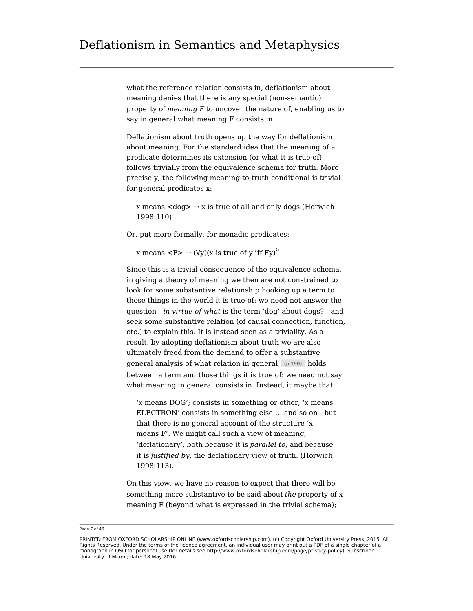what the reference relation consists in, deflationism about meaning denies that there is any special (non-semantic) property of meaning F to uncover the nature of, enabling us to say in general what meaning F consists in.

Deflationism about truth opens up the way for deflationism about meaning. For the standard idea that the meaning of a predicate determines its extension (or what it is true-of) follows trivially from the equivalence schema for truth. More precisely, the following meaning-to-truth conditional is trivial for general predicates x:

x means  $\langle$  dog $\rangle \rightarrow$  x is true of all and only dogs (Horwich 1998:110)

Or, put more formally, for monadic predicates:

x means  $\langle F \rangle \rightarrow (\forall y)(x)$  is true of y iff Fy)<sup>9</sup>

Since this is a trivial consequence of the equivalence schema, in giving a theory of meaning we then are not constrained to look for some substantive relationship hooking up a term to those things in the world it is true-of: we need not answer the question—in virtue of what is the term 'dog' about dogs?—and seek some substantive relation (of causal connection, function, etc.) to explain this. It is instead seen as a triviality. As a result, by adopting deflationism about truth we are also ultimately freed from the demand to offer a substantive general analysis of what relation in general (p.190) holds between a term and those things it is true of: we need not say what meaning in general consists in. Instead, it maybe that:

'x means DOG'; consists in something or other, 'x means ELECTRON' consists in something else … and so on—but that there is no general account of the structure 'x means F'. We might call such a view of meaning, 'deflationary', both because it is parallel to, and because it is justified by, the deflationary view of truth. (Horwich 1998:113).

On this view, we have no reason to expect that there will be something more substantive to be said about the property of x meaning F (beyond what is expressed in the trivial schema);

Page 7 of 46

PRINTED FROM OXFORD SCHOLARSHIP ONLINE (www.oxfordscholarship.com). (c) Copyright Oxford University Press, 2015. All Rights Reserved. Under the terms of the licence agreement, an individual user may print out a PDF of a single chapter of a monograph in OSO for personal use (for details see http://www.oxfordscholarship.com/page/privacy-policy). Subscriber: University of Miami; date: 18 May 2016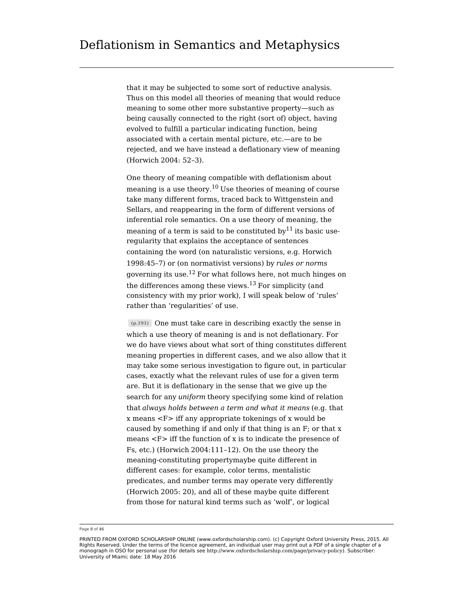that it may be subjected to some sort of reductive analysis. Thus on this model all theories of meaning that would reduce meaning to some other more substantive property—such as being causally connected to the right (sort of) object, having evolved to fulfill a particular indicating function, being associated with a certain mental picture, etc.—are to be rejected, and we have instead a deflationary view of meaning (Horwich 2004: 52–3).

One theory of meaning compatible with deflationism about meaning is a use theory.<sup>10</sup> Use theories of meaning of course take many different forms, traced back to Wittgenstein and Sellars, and reappearing in the form of different versions of inferential role semantics. On a use theory of meaning, the meaning of a term is said to be constituted by<sup>11</sup> its basic useregularity that explains the acceptance of sentences containing the word (on naturalistic versions, e.g. Horwich 1998:45–7) or (on normativist versions) by rules or norms governing its use.<sup>12</sup> For what follows here, not much hinges on the differences among these views.13 For simplicity (and consistency with my prior work), I will speak below of 'rules' rather than 'regularities' of use.

(p.191) One must take care in describing exactly the sense in which a use theory of meaning is and is not deflationary. For we do have views about what sort of thing constitutes different meaning properties in different cases, and we also allow that it may take some serious investigation to figure out, in particular cases, exactly what the relevant rules of use for a given term are. But it is deflationary in the sense that we give up the search for any uniform theory specifying some kind of relation that always holds between a term and what it means (e.g. that x means <F> iff any appropriate tokenings of x would be caused by something if and only if that thing is an F; or that x means <F> iff the function of x is to indicate the presence of Fs, etc.) (Horwich 2004:111–12). On the use theory the meaning-constituting propertymaybe quite different in different cases: for example, color terms, mentalistic predicates, and number terms may operate very differently (Horwich 2005: 20), and all of these maybe quite different from those for natural kind terms such as 'wolf', or logical

Page 8 of 46

PRINTED FROM OXFORD SCHOLARSHIP ONLINE (www.oxfordscholarship.com). (c) Copyright Oxford University Press, 2015. All Rights Reserved. Under the terms of the licence agreement, an individual user may print out a PDF of a single chapter of a monograph in OSO for personal use (for details see http://www.oxfordscholarship.com/page/privacy-policy). Subscriber: University of Miami; date: 18 May 2016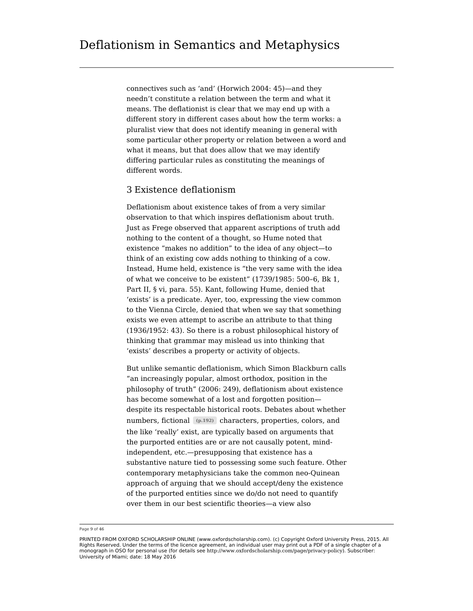connectives such as 'and' (Horwich 2004: 45)—and they needn't constitute a relation between the term and what it means. The deflationist is clear that we may end up with a different story in different cases about how the term works: a pluralist view that does not identify meaning in general with some particular other property or relation between a word and what it means, but that does allow that we may identify differing particular rules as constituting the meanings of different words.

#### 3 Existence deflationism

Deflationism about existence takes of from a very similar observation to that which inspires deflationism about truth. Just as Frege observed that apparent ascriptions of truth add nothing to the content of a thought, so Hume noted that existence "makes no addition" to the idea of any object—to think of an existing cow adds nothing to thinking of a cow. Instead, Hume held, existence is "the very same with the idea of what we conceive to be existent" (1739/1985: 500–6, Bk 1, Part II, § vi, para. 55). Kant, following Hume, denied that 'exists' is a predicate. Ayer, too, expressing the view common to the Vienna Circle, denied that when we say that something exists we even attempt to ascribe an attribute to that thing (1936/1952: 43). So there is a robust philosophical history of thinking that grammar may mislead us into thinking that 'exists' describes a property or activity of objects.

But unlike semantic deflationism, which Simon Blackburn calls "an increasingly popular, almost orthodox, position in the philosophy of truth" (2006: 249), deflationism about existence has become somewhat of a lost and forgotten position despite its respectable historical roots. Debates about whether numbers, fictional (p.192) characters, properties, colors, and the like 'really' exist, are typically based on arguments that the purported entities are or are not causally potent, mindindependent, etc.—presupposing that existence has a substantive nature tied to possessing some such feature. Other contemporary metaphysicians take the common neo-Quinean approach of arguing that we should accept/deny the existence of the purported entities since we do/do not need to quantify over them in our best scientific theories—a view also

Page 9 of 46

PRINTED FROM OXFORD SCHOLARSHIP ONLINE (www.oxfordscholarship.com). (c) Copyright Oxford University Press, 2015. All Rights Reserved. Under the terms of the licence agreement, an individual user may print out a PDF of a single chapter of a monograph in OSO for personal use (for details see http://www.oxfordscholarship.com/page/privacy-policy). Subscriber: University of Miami; date: 18 May 2016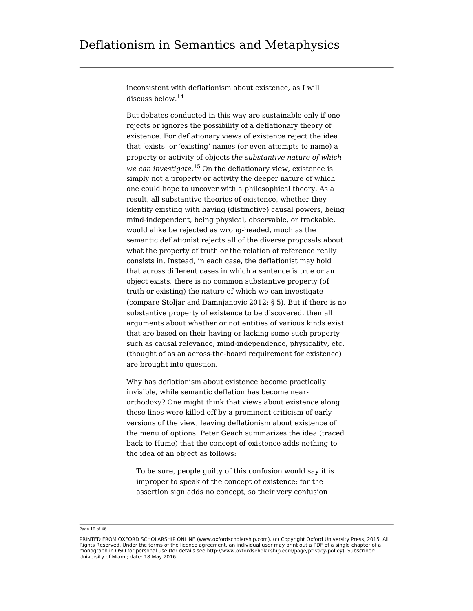inconsistent with deflationism about existence, as I will discuss below.<sup>14</sup>

But debates conducted in this way are sustainable only if one rejects or ignores the possibility of a deflationary theory of existence. For deflationary views of existence reject the idea that 'exists' or 'existing' names (or even attempts to name) a property or activity of objects the substantive nature of which w*e can investigate.* $^{15}$  On the deflationary view, existence is simply not a property or activity the deeper nature of which one could hope to uncover with a philosophical theory. As a result, all substantive theories of existence, whether they identify existing with having (distinctive) causal powers, being mind-independent, being physical, observable, or trackable, would alike be rejected as wrong-headed, much as the semantic deflationist rejects all of the diverse proposals about what the property of truth or the relation of reference really consists in. Instead, in each case, the deflationist may hold that across different cases in which a sentence is true or an object exists, there is no common substantive property (of truth or existing) the nature of which we can investigate (compare Stoljar and Damnjanovic 2012: § 5). But if there is no substantive property of existence to be discovered, then all arguments about whether or not entities of various kinds exist that are based on their having or lacking some such property such as causal relevance, mind-independence, physicality, etc. (thought of as an across-the-board requirement for existence) are brought into question.

Why has deflationism about existence become practically invisible, while semantic deflation has become nearorthodoxy? One might think that views about existence along these lines were killed off by a prominent criticism of early versions of the view, leaving deflationism about existence of the menu of options. Peter Geach summarizes the idea (traced back to Hume) that the concept of existence adds nothing to the idea of an object as follows:

To be sure, people guilty of this confusion would say it is improper to speak of the concept of existence; for the assertion sign adds no concept, so their very confusion

Page 10 of 46

PRINTED FROM OXFORD SCHOLARSHIP ONLINE (www.oxfordscholarship.com). (c) Copyright Oxford University Press, 2015. All Rights Reserved. Under the terms of the licence agreement, an individual user may print out a PDF of a single chapter of a monograph in OSO for personal use (for details see http://www.oxfordscholarship.com/page/privacy-policy). Subscriber: University of Miami; date: 18 May 2016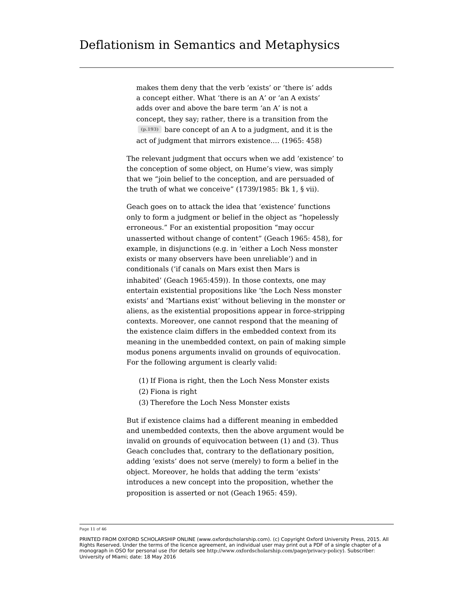makes them deny that the verb 'exists' or 'there is' adds a concept either. What 'there is an A' or 'an A exists' adds over and above the bare term 'an A' is not a concept, they say; rather, there is a transition from the (p.193) bare concept of an A to a judgment, and it is the act of judgment that mirrors existence.… (1965: 458)

The relevant judgment that occurs when we add 'existence' to the conception of some object, on Hume's view, was simply that we "join belief to the conception, and are persuaded of the truth of what we conceive" (1739/1985: Bk 1, § vii).

Geach goes on to attack the idea that 'existence' functions only to form a judgment or belief in the object as "hopelessly erroneous." For an existential proposition "may occur unasserted without change of content" (Geach 1965: 458), for example, in disjunctions (e.g. in 'either a Loch Ness monster exists or many observers have been unreliable') and in conditionals ('if canals on Mars exist then Mars is inhabited' (Geach 1965:459)). In those contexts, one may entertain existential propositions like 'the Loch Ness monster exists' and 'Martians exist' without believing in the monster or aliens, as the existential propositions appear in force-stripping contexts. Moreover, one cannot respond that the meaning of the existence claim differs in the embedded context from its meaning in the unembedded context, on pain of making simple modus ponens arguments invalid on grounds of equivocation. For the following argument is clearly valid:

- (1) If Fiona is right, then the Loch Ness Monster exists
- (2) Fiona is right
- (3) Therefore the Loch Ness Monster exists

But if existence claims had a different meaning in embedded and unembedded contexts, then the above argument would be invalid on grounds of equivocation between (1) and (3). Thus Geach concludes that, contrary to the deflationary position, adding 'exists' does not serve (merely) to form a belief in the object. Moreover, he holds that adding the term 'exists' introduces a new concept into the proposition, whether the proposition is asserted or not (Geach 1965: 459).

Page 11 of 46

PRINTED FROM OXFORD SCHOLARSHIP ONLINE (www.oxfordscholarship.com). (c) Copyright Oxford University Press, 2015. All Rights Reserved. Under the terms of the licence agreement, an individual user may print out a PDF of a single chapter of a monograph in OSO for personal use (for details see http://www.oxfordscholarship.com/page/privacy-policy). Subscriber: University of Miami; date: 18 May 2016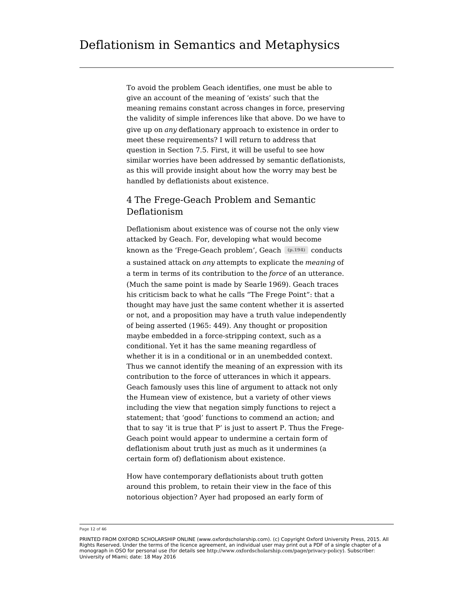To avoid the problem Geach identifies, one must be able to give an account of the meaning of 'exists' such that the meaning remains constant across changes in force, preserving the validity of simple inferences like that above. Do we have to give up on any deflationary approach to existence in order to meet these requirements? I will return to address that question in Section 7.5. First, it will be useful to see how similar worries have been addressed by semantic deflationists, as this will provide insight about how the worry may best be handled by deflationists about existence.

### 4 The Frege-Geach Problem and Semantic Deflationism

Deflationism about existence was of course not the only view attacked by Geach. For, developing what would become known as the 'Frege-Geach problem', Geach (p.194) conducts a sustained attack on any attempts to explicate the meaning of a term in terms of its contribution to the force of an utterance. (Much the same point is made by Searle 1969). Geach traces his criticism back to what he calls "The Frege Point": that a thought may have just the same content whether it is asserted or not, and a proposition may have a truth value independently of being asserted (1965: 449). Any thought or proposition maybe embedded in a force-stripping context, such as a conditional. Yet it has the same meaning regardless of whether it is in a conditional or in an unembedded context. Thus we cannot identify the meaning of an expression with its contribution to the force of utterances in which it appears. Geach famously uses this line of argument to attack not only the Humean view of existence, but a variety of other views including the view that negation simply functions to reject a statement; that 'good' functions to commend an action; and that to say 'it is true that P' is just to assert P. Thus the Frege-Geach point would appear to undermine a certain form of deflationism about truth just as much as it undermines (a certain form of) deflationism about existence.

How have contemporary deflationists about truth gotten around this problem, to retain their view in the face of this notorious objection? Ayer had proposed an early form of

Page 12 of 46

PRINTED FROM OXFORD SCHOLARSHIP ONLINE (www.oxfordscholarship.com). (c) Copyright Oxford University Press, 2015. All Rights Reserved. Under the terms of the licence agreement, an individual user may print out a PDF of a single chapter of a monograph in OSO for personal use (for details see http://www.oxfordscholarship.com/page/privacy-policy). Subscriber: University of Miami; date: 18 May 2016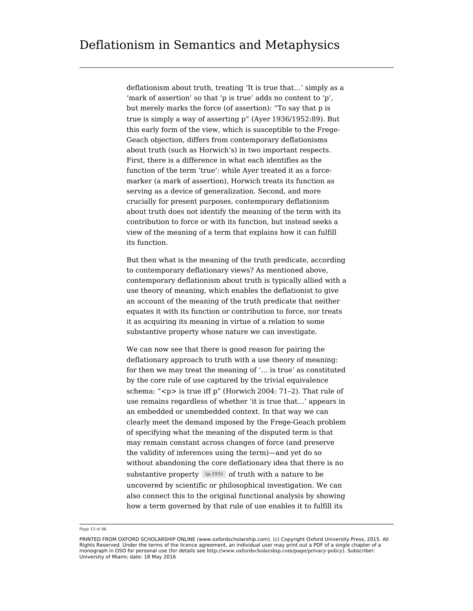deflationism about truth, treating 'It is true that…' simply as a 'mark of assertion' so that 'p is true' adds no content to 'p', but merely marks the force (of assertion): "To say that p is true is simply a way of asserting p" (Ayer 1936/1952:89). But this early form of the view, which is susceptible to the Freqe-Geach objection, differs from contemporary deflationisms about truth (such as Horwich's) in two important respects. First, there is a difference in what each identifies as the function of the term 'true': while Ayer treated it as a forcemarker (a mark of assertion), Horwich treats its function as serving as a device of generalization. Second, and more crucially for present purposes, contemporary deflationism about truth does not identify the meaning of the term with its contribution to force or with its function, but instead seeks a view of the meaning of a term that explains how it can fulfill its function.

But then what is the meaning of the truth predicate, according to contemporary deflationary views? As mentioned above, contemporary deflationism about truth is typically allied with a use theory of meaning, which enables the deflationist to give an account of the meaning of the truth predicate that neither equates it with its function or contribution to force, nor treats it as acquiring its meaning in virtue of a relation to some substantive property whose nature we can investigate.

We can now see that there is good reason for pairing the deflationary approach to truth with a use theory of meaning: for then we may treat the meaning of '… is true' as constituted by the core rule of use captured by the trivial equivalence schema: "<p> is true iff p" (Horwich 2004: 71-2). That rule of use remains regardless of whether 'it is true that…' appears in an embedded or unembedded context. In that way we can clearly meet the demand imposed by the Frege-Geach problem of specifying what the meaning of the disputed term is that may remain constant across changes of force (and preserve the validity of inferences using the term)—and yet do so without abandoning the core deflationary idea that there is no substantive property (p.195) of truth with a nature to be uncovered by scientific or philosophical investigation. We can also connect this to the original functional analysis by showing how a term governed by that rule of use enables it to fulfill its

Page 13 of 46

PRINTED FROM OXFORD SCHOLARSHIP ONLINE (www.oxfordscholarship.com). (c) Copyright Oxford University Press, 2015. All Rights Reserved. Under the terms of the licence agreement, an individual user may print out a PDF of a single chapter of a monograph in OSO for personal use (for details see http://www.oxfordscholarship.com/page/privacy-policy). Subscriber: University of Miami; date: 18 May 2016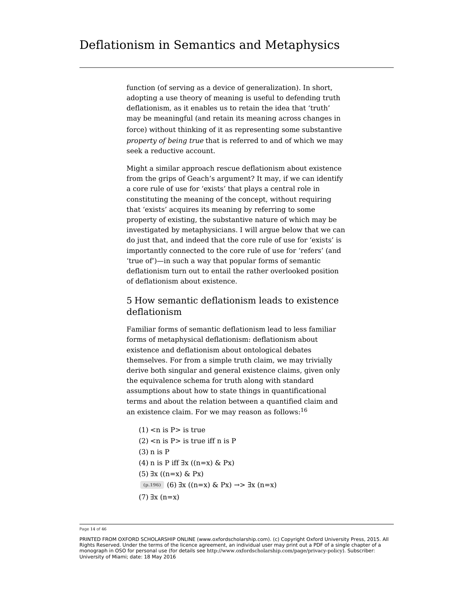function (of serving as a device of generalization). In short, adopting a use theory of meaning is useful to defending truth deflationism, as it enables us to retain the idea that 'truth' may be meaningful (and retain its meaning across changes in force) without thinking of it as representing some substantive property of being true that is referred to and of which we may seek a reductive account.

Might a similar approach rescue deflationism about existence from the grips of Geach's argument? It may, if we can identify a core rule of use for 'exists' that plays a central role in constituting the meaning of the concept, without requiring that 'exists' acquires its meaning by referring to some property of existing, the substantive nature of which may be investigated by metaphysicians. I will argue below that we can do just that, and indeed that the core rule of use for 'exists' is importantly connected to the core rule of use for 'refers' (and 'true of')—in such a way that popular forms of semantic deflationism turn out to entail the rather overlooked position of deflationism about existence.

### 5 How semantic deflationism leads to existence deflationism

Familiar forms of semantic deflationism lead to less familiar forms of metaphysical deflationism: deflationism about existence and deflationism about ontological debates themselves. For from a simple truth claim, we may trivially derive both singular and general existence claims, given only the equivalence schema for truth along with standard assumptions about how to state things in quantificational terms and about the relation between a quantified claim and an existence claim. For we may reason as follows:16

 $(1)$  <n is P is true  $(2)$  <n is P is true iff n is P (3) n is P (4) n is P iff  $\exists x ((n=x) \& Px)$  $(5) \exists x ((n=x) \& Px)$  $\lceil (p.196) \rceil$  (6)  $\exists x ((n=x) \& Px) \rightarrow > \exists x (n=x)$  $(7) \exists x (n=x)$ 

Page 14 of 46

PRINTED FROM OXFORD SCHOLARSHIP ONLINE (www.oxfordscholarship.com). (c) Copyright Oxford University Press, 2015. All Rights Reserved. Under the terms of the licence agreement, an individual user may print out a PDF of a single chapter of a monograph in OSO for personal use (for details see http://www.oxfordscholarship.com/page/privacy-policy). Subscriber: University of Miami; date: 18 May 2016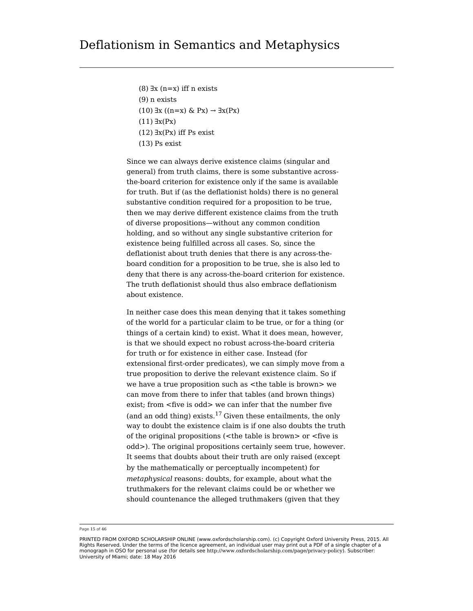(8)  $\exists x (n=x)$  iff n exists (9) n exists  $(10) \exists x ((n=x) \& Px) \rightarrow \exists x (Px)$  $(11) \exists x(Px)$  $(12)$   $\exists$ x $(Px)$  iff Ps exist (13) Ps exist

Since we can always derive existence claims (singular and general) from truth claims, there is some substantive acrossthe-board criterion for existence only if the same is available for truth. But if (as the deflationist holds) there is no general substantive condition required for a proposition to be true, then we may derive different existence claims from the truth of diverse propositions—without any common condition holding, and so without any single substantive criterion for existence being fulfilled across all cases. So, since the deflationist about truth denies that there is any across-theboard condition for a proposition to be true, she is also led to deny that there is any across-the-board criterion for existence. The truth deflationist should thus also embrace deflationism about existence.

In neither case does this mean denying that it takes something of the world for a particular claim to be true, or for a thing (or things of a certain kind) to exist. What it does mean, however, is that we should expect no robust across-the-board criteria for truth or for existence in either case. Instead (for extensional first-order predicates), we can simply move from a true proposition to derive the relevant existence claim. So if we have a true proposition such as  $\lt$ the table is brown> we can move from there to infer that tables (and brown things) exist; from <five is odd> we can infer that the number five (and an odd thing) exists.<sup>17</sup> Given these entailments, the only way to doubt the existence claim is if one also doubts the truth of the original propositions (<the table is brown> or <five is odd>). The original propositions certainly seem true, however. It seems that doubts about their truth are only raised (except by the mathematically or perceptually incompetent) for metaphysical reasons: doubts, for example, about what the truthmakers for the relevant claims could be or whether we should countenance the alleged truthmakers (given that they

Page 15 of 46

PRINTED FROM OXFORD SCHOLARSHIP ONLINE (www.oxfordscholarship.com). (c) Copyright Oxford University Press, 2015. All Rights Reserved. Under the terms of the licence agreement, an individual user may print out a PDF of a single chapter of a monograph in OSO for personal use (for details see http://www.oxfordscholarship.com/page/privacy-policy). Subscriber: University of Miami; date: 18 May 2016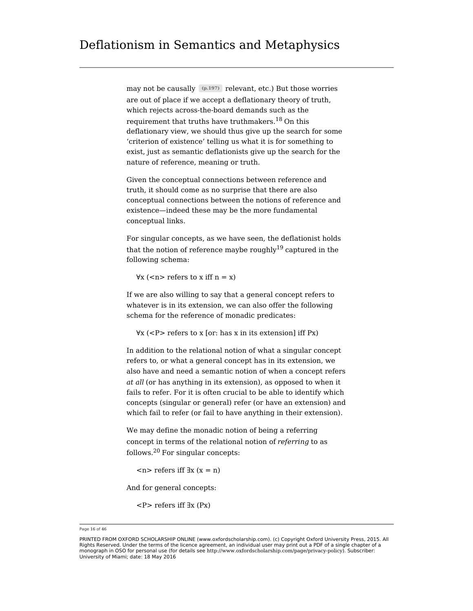may not be causally (p.197) relevant, etc.) But those worries are out of place if we accept a deflationary theory of truth, which rejects across-the-board demands such as the requirement that truths have truthmakers.<sup>18</sup> On this deflationary view, we should thus give up the search for some 'criterion of existence' telling us what it is for something to exist, just as semantic deflationists give up the search for the nature of reference, meaning or truth.

Given the conceptual connections between reference and truth, it should come as no surprise that there are also conceptual connections between the notions of reference and existence—indeed these may be the more fundamental conceptual links.

For singular concepts, as we have seen, the deflationist holds that the notion of reference maybe roughly<sup>19</sup> captured in the following schema:

 $\forall x$  (<n> refers to x iff n = x)

If we are also willing to say that a general concept refers to whatever is in its extension, we can also offer the following schema for the reference of monadic predicates:

 $\forall x$  (<P> refers to x [or: has x in its extension] iff Px)

In addition to the relational notion of what a singular concept refers to, or what a general concept has in its extension, we also have and need a semantic notion of when a concept refers at all (or has anything in its extension), as opposed to when it fails to refer. For it is often crucial to be able to identify which concepts (singular or general) refer (or have an extension) and which fail to refer (or fail to have anything in their extension).

We may define the monadic notion of being a referring concept in terms of the relational notion of referring to as follows.20 For singular concepts:

 $\langle n \rangle$  refers iff  $\exists x (x = n)$ 

And for general concepts:

 $< P$  refers iff  $\exists x (Px)$ 

Page 16 of 46

PRINTED FROM OXFORD SCHOLARSHIP ONLINE (www.oxfordscholarship.com). (c) Copyright Oxford University Press, 2015. All Rights Reserved. Under the terms of the licence agreement, an individual user may print out a PDF of a single chapter of a monograph in OSO for personal use (for details see http://www.oxfordscholarship.com/page/privacy-policy). Subscriber: University of Miami; date: 18 May 2016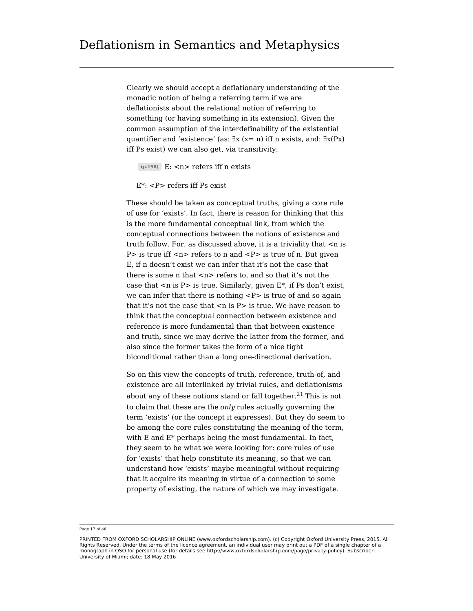Clearly we should accept a deflationary understanding of the monadic notion of being a referring term if we are deflationists about the relational notion of referring to something (or having something in its extension). Given the common assumption of the interdefinability of the existential quantifier and 'existence' (as:  $\exists x (x = n)$  iff n exists, and:  $\exists x (Px)$ iff Ps exist) we can also get, via transitivity:

(p.198) E: <n> refers iff n exists

 $E^*$ : <P> refers iff Ps exist

These should be taken as conceptual truths, giving a core rule of use for 'exists'. In fact, there is reason for thinking that this is the more fundamental conceptual link, from which the conceptual connections between the notions of existence and truth follow. For, as discussed above, it is a triviality that <n is P> is true iff <n> refers to n and <P> is true of n. But given E, if n doesn't exist we can infer that it's not the case that there is some n that <n> refers to, and so that it's not the case that  $\langle n \rangle$  is  $\langle n \rangle$  is true. Similarly, given  $E^*$ , if Ps don't exist, we can infer that there is nothing  $\langle P \rangle$  is true of and so again that it's not the case that  $\langle n \rangle$  is true. We have reason to think that the conceptual connection between existence and reference is more fundamental than that between existence and truth, since we may derive the latter from the former, and also since the former takes the form of a nice tight biconditional rather than a long one-directional derivation.

So on this view the concepts of truth, reference, truth-of, and existence are all interlinked by trivial rules, and deflationisms about any of these notions stand or fall together.<sup>21</sup> This is not to claim that these are the only rules actually governing the term 'exists' (or the concept it expresses). But they do seem to be among the core rules constituting the meaning of the term, with E and  $E^*$  perhaps being the most fundamental. In fact, they seem to be what we were looking for: core rules of use for 'exists' that help constitute its meaning, so that we can understand how 'exists' maybe meaningful without requiring that it acquire its meaning in virtue of a connection to some property of existing, the nature of which we may investigate.

Page 17 of 46

PRINTED FROM OXFORD SCHOLARSHIP ONLINE (www.oxfordscholarship.com). (c) Copyright Oxford University Press, 2015. All Rights Reserved. Under the terms of the licence agreement, an individual user may print out a PDF of a single chapter of a monograph in OSO for personal use (for details see http://www.oxfordscholarship.com/page/privacy-policy). Subscriber: University of Miami; date: 18 May 2016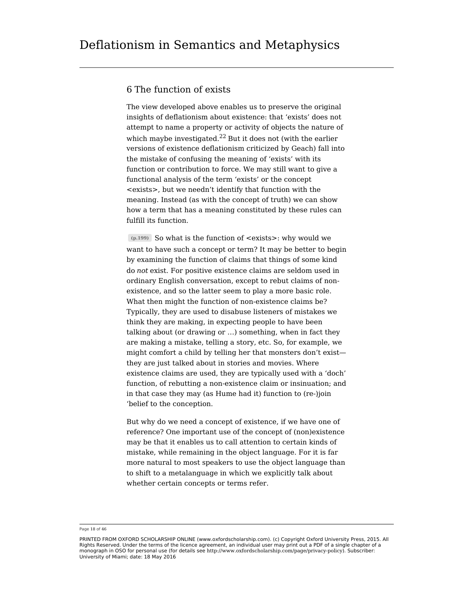#### 6 The function of exists

The view developed above enables us to preserve the original insights of deflationism about existence: that 'exists' does not attempt to name a property or activity of objects the nature of which maybe investigated. $^{22}$  But it does not (with the earlier versions of existence deflationism criticized by Geach) fall into the mistake of confusing the meaning of 'exists' with its function or contribution to force. We may still want to give a functional analysis of the term 'exists' or the concept <exists>, but we needn't identify that function with the meaning. Instead (as with the concept of truth) we can show how a term that has a meaning constituted by these rules can fulfill its function.

(p.199) So what is the function of <exists>: why would we want to have such a concept or term? It may be better to begin by examining the function of claims that things of some kind do not exist. For positive existence claims are seldom used in ordinary English conversation, except to rebut claims of nonexistence, and so the latter seem to play a more basic role. What then might the function of non-existence claims be? Typically, they are used to disabuse listeners of mistakes we think they are making, in expecting people to have been talking about (or drawing or …) something, when in fact they are making a mistake, telling a story, etc. So, for example, we might comfort a child by telling her that monsters don't exist they are just talked about in stories and movies. Where existence claims are used, they are typically used with a 'doch' function, of rebutting a non-existence claim or insinuation; and in that case they may (as Hume had it) function to (re-)join 'belief to the conception.

But why do we need a concept of existence, if we have one of reference? One important use of the concept of (non)existence may be that it enables us to call attention to certain kinds of mistake, while remaining in the object language. For it is far more natural to most speakers to use the object language than to shift to a metalanguage in which we explicitly talk about whether certain concepts or terms refer.

Page 18 of 46

PRINTED FROM OXFORD SCHOLARSHIP ONLINE (www.oxfordscholarship.com). (c) Copyright Oxford University Press, 2015. All Rights Reserved. Under the terms of the licence agreement, an individual user may print out a PDF of a single chapter of a monograph in OSO for personal use (for details see http://www.oxfordscholarship.com/page/privacy-policy). Subscriber: University of Miami; date: 18 May 2016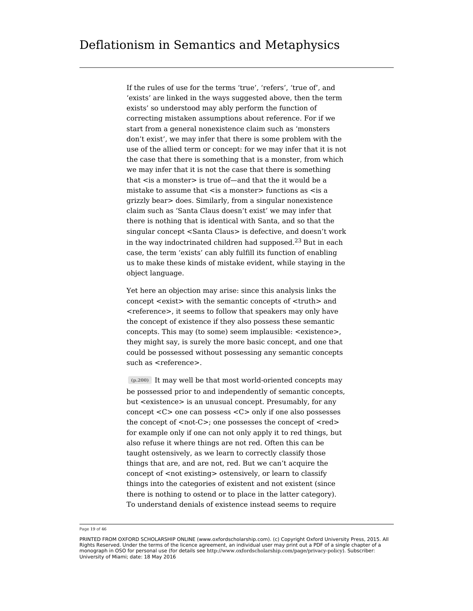If the rules of use for the terms 'true', 'refers', 'true of', and 'exists' are linked in the ways suggested above, then the term exists' so understood may ably perform the function of correcting mistaken assumptions about reference. For if we start from a general nonexistence claim such as 'monsters don't exist', we may infer that there is some problem with the use of the allied term or concept: for we may infer that it is not the case that there is something that is a monster, from which we may infer that it is not the case that there is something that  $\lt$  is a monster $>$  is true of—and that the it would be a mistake to assume that  $\lt$  is a monster> functions as  $\lt$  is a grizzly bear> does. Similarly, from a singular nonexistence claim such as 'Santa Claus doesn't exist' we may infer that there is nothing that is identical with Santa, and so that the singular concept <Santa Claus> is defective, and doesn't work in the way indoctrinated children had supposed. $^{23}$  But in each case, the term 'exists' can ably fulfill its function of enabling us to make these kinds of mistake evident, while staying in the object language.

Yet here an objection may arise: since this analysis links the concept <exist> with the semantic concepts of <truth> and <reference>, it seems to follow that speakers may only have the concept of existence if they also possess these semantic concepts. This may (to some) seem implausible: <existence>, they might say, is surely the more basic concept, and one that could be possessed without possessing any semantic concepts such as <reference>.

 $(p.200)$  It may well be that most world-oriented concepts may be possessed prior to and independently of semantic concepts, but <existence> is an unusual concept. Presumably, for any concept <C> one can possess <C> only if one also possesses the concept of  $\langle \text{not-}C \rangle$ ; one possesses the concept of  $\langle \text{red} \rangle$ for example only if one can not only apply it to red things, but also refuse it where things are not red. Often this can be taught ostensively, as we learn to correctly classify those things that are, and are not, red. But we can't acquire the concept of  $\leq$  not existing  $\geq$  ostensively, or learn to classify things into the categories of existent and not existent (since there is nothing to ostend or to place in the latter category). To understand denials of existence instead seems to require

Page 19 of 46

PRINTED FROM OXFORD SCHOLARSHIP ONLINE (www.oxfordscholarship.com). (c) Copyright Oxford University Press, 2015. All Rights Reserved. Under the terms of the licence agreement, an individual user may print out a PDF of a single chapter of a monograph in OSO for personal use (for details see http://www.oxfordscholarship.com/page/privacy-policy). Subscriber: University of Miami; date: 18 May 2016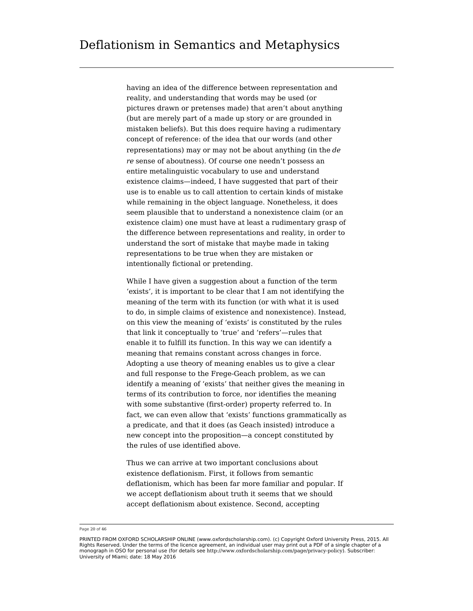having an idea of the difference between representation and reality, and understanding that words may be used (or pictures drawn or pretenses made) that aren't about anything (but are merely part of a made up story or are grounded in mistaken beliefs). But this does require having a rudimentary concept of reference: of the idea that our words (and other representations) may or may not be about anything (in the de re sense of aboutness). Of course one needn't possess an entire metalinguistic vocabulary to use and understand existence claims—indeed, I have suggested that part of their use is to enable us to call attention to certain kinds of mistake while remaining in the object language. Nonetheless, it does seem plausible that to understand a nonexistence claim (or an existence claim) one must have at least a rudimentary grasp of the difference between representations and reality, in order to understand the sort of mistake that maybe made in taking representations to be true when they are mistaken or intentionally fictional or pretending.

While I have given a suggestion about a function of the term 'exists', it is important to be clear that I am not identifying the meaning of the term with its function (or with what it is used to do, in simple claims of existence and nonexistence). Instead, on this view the meaning of 'exists' is constituted by the rules that link it conceptually to 'true' and 'refers'—rules that enable it to fulfill its function. In this way we can identify a meaning that remains constant across changes in force. Adopting a use theory of meaning enables us to give a clear and full response to the Frege-Geach problem, as we can identify a meaning of 'exists' that neither gives the meaning in terms of its contribution to force, nor identifies the meaning with some substantive (first-order) property referred to. In fact, we can even allow that 'exists' functions grammatically as a predicate, and that it does (as Geach insisted) introduce a new concept into the proposition—a concept constituted by the rules of use identified above.

Thus we can arrive at two important conclusions about existence deflationism. First, it follows from semantic deflationism, which has been far more familiar and popular. If we accept deflationism about truth it seems that we should accept deflationism about existence. Second, accepting

Page 20 of 46

PRINTED FROM OXFORD SCHOLARSHIP ONLINE (www.oxfordscholarship.com). (c) Copyright Oxford University Press, 2015. All Rights Reserved. Under the terms of the licence agreement, an individual user may print out a PDF of a single chapter of a monograph in OSO for personal use (for details see http://www.oxfordscholarship.com/page/privacy-policy). Subscriber: University of Miami; date: 18 May 2016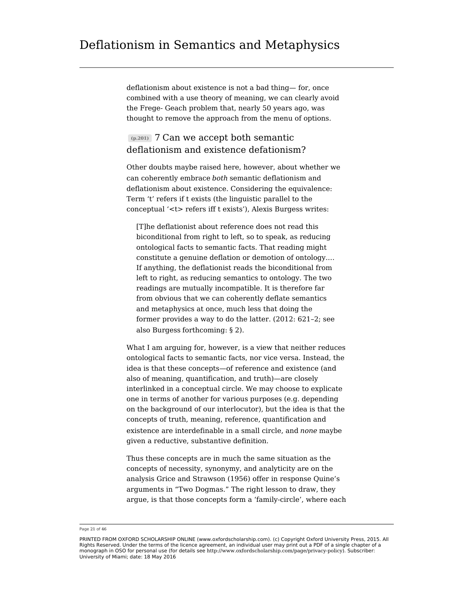deflationism about existence is not a bad thing— for, once combined with a use theory of meaning, we can clearly avoid the Frege- Geach problem that, nearly 50 years ago, was thought to remove the approach from the menu of options.

### (p.201) 7 Can we accept both semantic deflationism and existence defationism?

Other doubts maybe raised here, however, about whether we can coherently embrace both semantic deflationism and deflationism about existence. Considering the equivalence: Term 't' refers if t exists (the linguistic parallel to the conceptual '<t> refers iff t exists'), Alexis Burgess writes:

[T]he deflationist about reference does not read this biconditional from right to left, so to speak, as reducing ontological facts to semantic facts. That reading might constitute a genuine deflation or demotion of ontology.… If anything, the deflationist reads the biconditional from left to right, as reducing semantics to ontology. The two readings are mutually incompatible. It is therefore far from obvious that we can coherently deflate semantics and metaphysics at once, much less that doing the former provides a way to do the latter. (2012: 621–2; see also Burgess forthcoming: § 2).

What I am arguing for, however, is a view that neither reduces ontological facts to semantic facts, nor vice versa. Instead, the idea is that these concepts—of reference and existence (and also of meaning, quantification, and truth)—are closely interlinked in a conceptual circle. We may choose to explicate one in terms of another for various purposes (e.g. depending on the background of our interlocutor), but the idea is that the concepts of truth, meaning, reference, quantification and existence are interdefinable in a small circle, and none maybe given a reductive, substantive definition.

Thus these concepts are in much the same situation as the concepts of necessity, synonymy, and analyticity are on the analysis Grice and Strawson (1956) offer in response Quine's arguments in "Two Dogmas." The right lesson to draw, they argue, is that those concepts form a 'family-circle', where each

Page 21 of 46

PRINTED FROM OXFORD SCHOLARSHIP ONLINE (www.oxfordscholarship.com). (c) Copyright Oxford University Press, 2015. All Rights Reserved. Under the terms of the licence agreement, an individual user may print out a PDF of a single chapter of a monograph in OSO for personal use (for details see http://www.oxfordscholarship.com/page/privacy-policy). Subscriber: University of Miami; date: 18 May 2016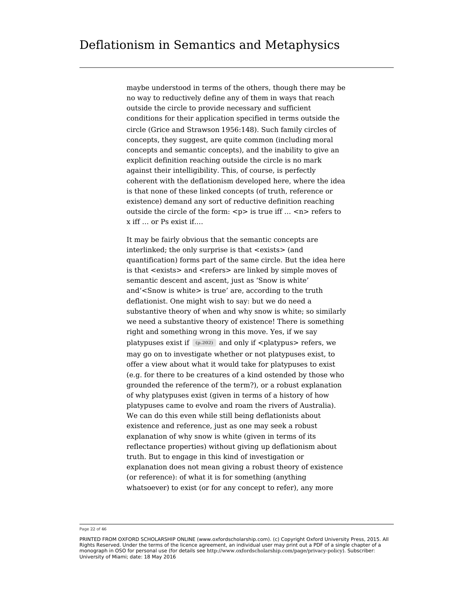maybe understood in terms of the others, though there may be no way to reductively define any of them in ways that reach outside the circle to provide necessary and sufficient conditions for their application specified in terms outside the circle (Grice and Strawson 1956:148). Such family circles of concepts, they suggest, are quite common (including moral concepts and semantic concepts), and the inability to give an explicit definition reaching outside the circle is no mark against their intelligibility. This, of course, is perfectly coherent with the deflationism developed here, where the idea is that none of these linked concepts (of truth, reference or existence) demand any sort of reductive definition reaching outside the circle of the form: <p> is true iff … <n> refers to x iff … or Ps exist if.…

It may be fairly obvious that the semantic concepts are interlinked; the only surprise is that <exists> (and quantification) forms part of the same circle. But the idea here is that <exists> and <refers> are linked by simple moves of semantic descent and ascent, just as 'Snow is white' and'<Snow is white> is true' are, according to the truth deflationist. One might wish to say: but we do need a substantive theory of when and why snow is white; so similarly we need a substantive theory of existence! There is something right and something wrong in this move. Yes, if we say platypuses exist if  $(p.202)$  and only if <platypus> refers, we may go on to investigate whether or not platypuses exist, to offer a view about what it would take for platypuses to exist (e.g. for there to be creatures of a kind ostended by those who grounded the reference of the term?), or a robust explanation of why platypuses exist (given in terms of a history of how platypuses came to evolve and roam the rivers of Australia). We can do this even while still being deflationists about existence and reference, just as one may seek a robust explanation of why snow is white (given in terms of its reflectance properties) without giving up deflationism about truth. But to engage in this kind of investigation or explanation does not mean giving a robust theory of existence (or reference): of what it is for something (anything whatsoever) to exist (or for any concept to refer), any more

Page 22 of 46

PRINTED FROM OXFORD SCHOLARSHIP ONLINE (www.oxfordscholarship.com). (c) Copyright Oxford University Press, 2015. All Rights Reserved. Under the terms of the licence agreement, an individual user may print out a PDF of a single chapter of a monograph in OSO for personal use (for details see http://www.oxfordscholarship.com/page/privacy-policy). Subscriber: University of Miami; date: 18 May 2016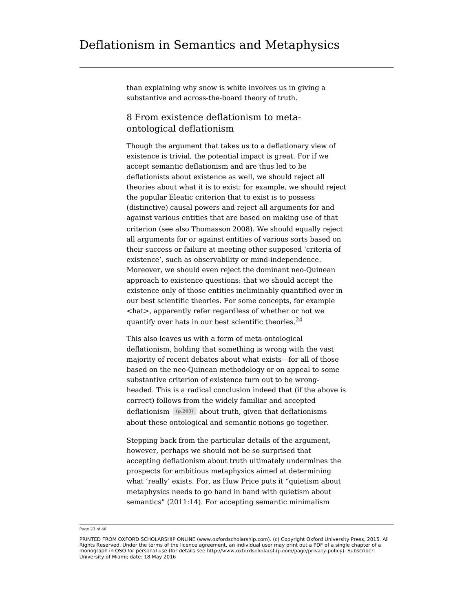than explaining why snow is white involves us in giving a substantive and across-the-board theory of truth.

### 8 From existence deflationism to metaontological deflationism

Though the argument that takes us to a deflationary view of existence is trivial, the potential impact is great. For if we accept semantic deflationism and are thus led to be deflationists about existence as well, we should reject all theories about what it is to exist: for example, we should reject the popular Eleatic criterion that to exist is to possess (distinctive) causal powers and reject all arguments for and against various entities that are based on making use of that criterion (see also Thomasson 2008). We should equally reject all arguments for or against entities of various sorts based on their success or failure at meeting other supposed 'criteria of existence', such as observability or mind-independence. Moreover, we should even reject the dominant neo-Quinean approach to existence questions: that we should accept the existence only of those entities ineliminably quantified over in our best scientific theories. For some concepts, for example <hat>, apparently refer regardless of whether or not we quantify over hats in our best scientific theories.<sup>24</sup>

This also leaves us with a form of meta-ontological deflationism, holding that something is wrong with the vast majority of recent debates about what exists—for all of those based on the neo-Quinean methodology or on appeal to some substantive criterion of existence turn out to be wrongheaded. This is a radical conclusion indeed that (if the above is correct) follows from the widely familiar and accepted deflationism (p.203) about truth, given that deflationisms about these ontological and semantic notions go together.

Stepping back from the particular details of the argument, however, perhaps we should not be so surprised that accepting deflationism about truth ultimately undermines the prospects for ambitious metaphysics aimed at determining what 'really' exists. For, as Huw Price puts it "quietism about metaphysics needs to go hand in hand with quietism about semantics" (2011:14). For accepting semantic minimalism

Page 23 of 46

PRINTED FROM OXFORD SCHOLARSHIP ONLINE (www.oxfordscholarship.com). (c) Copyright Oxford University Press, 2015. All Rights Reserved. Under the terms of the licence agreement, an individual user may print out a PDF of a single chapter of a monograph in OSO for personal use (for details see http://www.oxfordscholarship.com/page/privacy-policy). Subscriber: University of Miami; date: 18 May 2016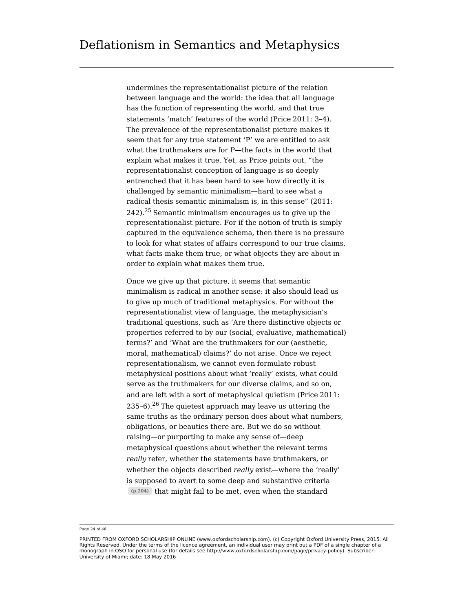undermines the representationalist picture of the relation between language and the world: the idea that all language has the function of representing the world, and that true statements 'match' features of the world (Price 2011: 3–4). The prevalence of the representationalist picture makes it seem that for any true statement 'P' we are entitled to ask what the truthmakers are for P—the facts in the world that explain what makes it true. Yet, as Price points out, "the representationalist conception of language is so deeply entrenched that it has been hard to see how directly it is challenged by semantic minimalism—hard to see what a radical thesis semantic minimalism is, in this sense" (2011: 242).25 Semantic minimalism encourages us to give up the representationalist picture. For if the notion of truth is simply captured in the equivalence schema, then there is no pressure to look for what states of affairs correspond to our true claims, what facts make them true, or what objects they are about in order to explain what makes them true.

Once we give up that picture, it seems that semantic minimalism is radical in another sense: it also should lead us to give up much of traditional metaphysics. For without the representationalist view of language, the metaphysician's traditional questions, such as 'Are there distinctive objects or properties referred to by our (social, evaluative, mathematical) terms?' and 'What are the truthmakers for our (aesthetic, moral, mathematical) claims?' do not arise. Once we reject representationalism, we cannot even formulate robust metaphysical positions about what 'really' exists, what could serve as the truthmakers for our diverse claims, and so on, and are left with a sort of metaphysical quietism (Price 2011: 235–6).<sup>26</sup> The quietest approach may leave us uttering the same truths as the ordinary person does about what numbers, obligations, or beauties there are. But we do so without raising—or purporting to make any sense of—deep metaphysical questions about whether the relevant terms really refer, whether the statements have truthmakers, or whether the objects described really exist—where the 'really' is supposed to avert to some deep and substantive criteria (p.204) that might fail to be met, even when the standard

Page 24 of 46

PRINTED FROM OXFORD SCHOLARSHIP ONLINE (www.oxfordscholarship.com). (c) Copyright Oxford University Press, 2015. All Rights Reserved. Under the terms of the licence agreement, an individual user may print out a PDF of a single chapter of a monograph in OSO for personal use (for details see http://www.oxfordscholarship.com/page/privacy-policy). Subscriber: University of Miami; date: 18 May 2016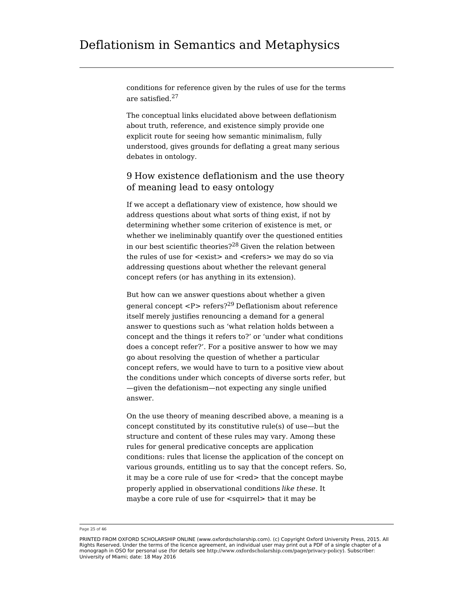conditions for reference given by the rules of use for the terms are satisfied.<sup>27</sup>

The conceptual links elucidated above between deflationism about truth, reference, and existence simply provide one explicit route for seeing how semantic minimalism, fully understood, gives grounds for deflating a great many serious debates in ontology.

### 9 How existence deflationism and the use theory of meaning lead to easy ontology

If we accept a deflationary view of existence, how should we address questions about what sorts of thing exist, if not by determining whether some criterion of existence is met, or whether we ineliminably quantify over the questioned entities in our best scientific theories? $28$  Given the relation between the rules of use for <exist> and <refers> we may do so via addressing questions about whether the relevant general concept refers (or has anything in its extension).

But how can we answer questions about whether a given general concept <P> refers?29 Deflationism about reference itself merely justifies renouncing a demand for a general answer to questions such as 'what relation holds between a concept and the things it refers to?' or 'under what conditions does a concept refer?'. For a positive answer to how we may go about resolving the question of whether a particular concept refers, we would have to turn to a positive view about the conditions under which concepts of diverse sorts refer, but —given the defationism—not expecting any single unified answer.

On the use theory of meaning described above, a meaning is a concept constituted by its constitutive rule(s) of use—but the structure and content of these rules may vary. Among these rules for general predicative concepts are application conditions: rules that license the application of the concept on various grounds, entitling us to say that the concept refers. So, it may be a core rule of use for <red> that the concept maybe properly applied in observational conditions like these. It maybe a core rule of use for  $\le$  squirrel> that it may be

Page 25 of 46

PRINTED FROM OXFORD SCHOLARSHIP ONLINE (www.oxfordscholarship.com). (c) Copyright Oxford University Press, 2015. All Rights Reserved. Under the terms of the licence agreement, an individual user may print out a PDF of a single chapter of a monograph in OSO for personal use (for details see http://www.oxfordscholarship.com/page/privacy-policy). Subscriber: University of Miami; date: 18 May 2016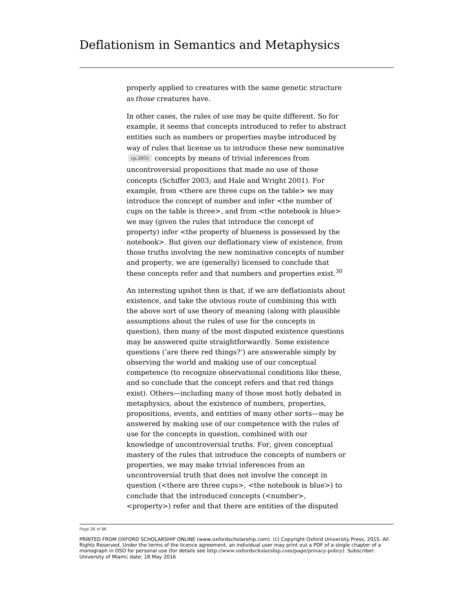properly applied to creatures with the same genetic structure as those creatures have.

In other cases, the rules of use may be quite different. So for example, it seems that concepts introduced to refer to abstract entities such as numbers or properties maybe introduced by way of rules that license us to introduce these new nominative (p.205) concepts by means of trivial inferences from uncontroversial propositions that made no use of those concepts (Schiffer 2003; and Hale and Wright 2001). For example, from  $\prec$ there are three cups on the table> we may introduce the concept of number and infer <the number of cups on the table is three>, and from <the notebook is blue> we may (given the rules that introduce the concept of property) infer <the property of blueness is possessed by the notebook>. But given our deflationary view of existence, from those truths involving the new nominative concepts of number and property, we are (generally) licensed to conclude that these concepts refer and that numbers and properties exist.<sup>30</sup>

An interesting upshot then is that, if we are deflationists about existence, and take the obvious route of combining this with the above sort of use theory of meaning (along with plausible assumptions about the rules of use for the concepts in question), then many of the most disputed existence questions may be answered quite straightforwardly. Some existence questions ('are there red things?') are answerable simply by observing the world and making use of our conceptual competence (to recognize observational conditions like these, and so conclude that the concept refers and that red things exist). Others—including many of those most hotly debated in metaphysics, about the existence of numbers, properties, propositions, events, and entities of many other sorts—may be answered by making use of our competence with the rules of use for the concepts in question, combined with our knowledge of uncontroversial truths. For, given conceptual mastery of the rules that introduce the concepts of numbers or properties, we may make trivial inferences from an uncontroversial truth that does not involve the concept in question (<there are three cups>, <the notebook is blue>) to conclude that the introduced concepts (<number>, <property>) refer and that there are entities of the disputed

Page 26 of 46

PRINTED FROM OXFORD SCHOLARSHIP ONLINE (www.oxfordscholarship.com). (c) Copyright Oxford University Press, 2015. All Rights Reserved. Under the terms of the licence agreement, an individual user may print out a PDF of a single chapter of a monograph in OSO for personal use (for details see http://www.oxfordscholarship.com/page/privacy-policy). Subscriber: University of Miami; date: 18 May 2016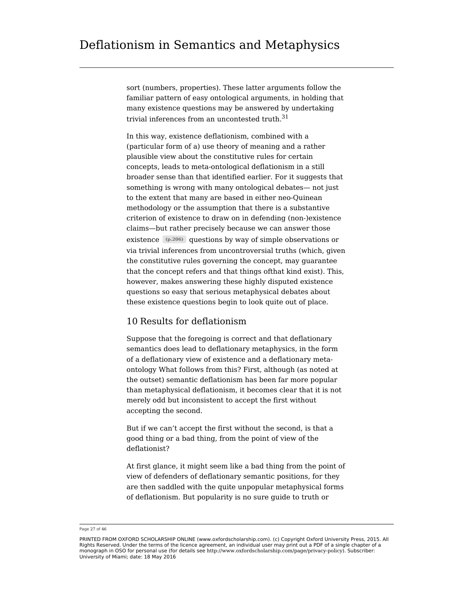sort (numbers, properties). These latter arguments follow the familiar pattern of easy ontological arguments, in holding that many existence questions may be answered by undertaking trivial inferences from an uncontested truth.<sup>31</sup>

In this way, existence deflationism, combined with a (particular form of a) use theory of meaning and a rather plausible view about the constitutive rules for certain concepts, leads to meta-ontological deflationism in a still broader sense than that identified earlier. For it suggests that something is wrong with many ontological debates— not just to the extent that many are based in either neo-Quinean methodology or the assumption that there is a substantive criterion of existence to draw on in defending (non-)existence claims—but rather precisely because we can answer those existence (p.206) questions by way of simple observations or via trivial inferences from uncontroversial truths (which, given the constitutive rules governing the concept, may guarantee that the concept refers and that things ofthat kind exist). This, however, makes answering these highly disputed existence questions so easy that serious metaphysical debates about these existence questions begin to look quite out of place.

#### 10 Results for deflationism

Suppose that the foregoing is correct and that deflationary semantics does lead to deflationary metaphysics, in the form of a deflationary view of existence and a deflationary metaontology What follows from this? First, although (as noted at the outset) semantic deflationism has been far more popular than metaphysical deflationism, it becomes clear that it is not merely odd but inconsistent to accept the first without accepting the second.

But if we can't accept the first without the second, is that a good thing or a bad thing, from the point of view of the deflationist?

At first glance, it might seem like a bad thing from the point of view of defenders of deflationary semantic positions, for they are then saddled with the quite unpopular metaphysical forms of deflationism. But popularity is no sure guide to truth or

Page 27 of 46

PRINTED FROM OXFORD SCHOLARSHIP ONLINE (www.oxfordscholarship.com). (c) Copyright Oxford University Press, 2015. All Rights Reserved. Under the terms of the licence agreement, an individual user may print out a PDF of a single chapter of a monograph in OSO for personal use (for details see http://www.oxfordscholarship.com/page/privacy-policy). Subscriber: University of Miami; date: 18 May 2016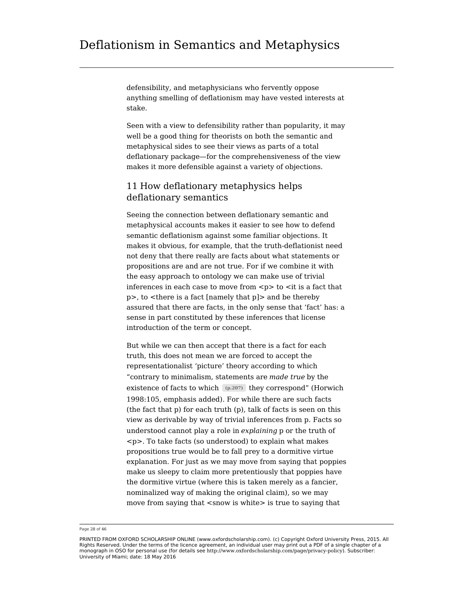defensibility, and metaphysicians who fervently oppose anything smelling of deflationism may have vested interests at stake.

Seen with a view to defensibility rather than popularity, it may well be a good thing for theorists on both the semantic and metaphysical sides to see their views as parts of a total deflationary package—for the comprehensiveness of the view makes it more defensible against a variety of objections.

### 11 How deflationary metaphysics helps deflationary semantics

Seeing the connection between deflationary semantic and metaphysical accounts makes it easier to see how to defend semantic deflationism against some familiar objections. It makes it obvious, for example, that the truth-deflationist need not deny that there really are facts about what statements or propositions are and are not true. For if we combine it with the easy approach to ontology we can make use of trivial inferences in each case to move from  $\langle p \rangle$  to  $\langle$  it is a fact that p>, to <there is a fact [namely that p]> and be thereby assured that there are facts, in the only sense that 'fact' has: a sense in part constituted by these inferences that license introduction of the term or concept.

But while we can then accept that there is a fact for each truth, this does not mean we are forced to accept the representationalist 'picture' theory according to which "contrary to minimalism, statements are made true by the existence of facts to which (p.207) they correspond" (Horwich 1998:105, emphasis added). For while there are such facts (the fact that p) for each truth (p), talk of facts is seen on this view as derivable by way of trivial inferences from p. Facts so understood cannot play a role in explaining p or the truth of <p>. To take facts (so understood) to explain what makes propositions true would be to fall prey to a dormitive virtue explanation. For just as we may move from saying that poppies make us sleepy to claim more pretentiously that poppies have the dormitive virtue (where this is taken merely as a fancier, nominalized way of making the original claim), so we may move from saying that <snow is white> is true to saying that

Page 28 of 46

PRINTED FROM OXFORD SCHOLARSHIP ONLINE (www.oxfordscholarship.com). (c) Copyright Oxford University Press, 2015. All Rights Reserved. Under the terms of the licence agreement, an individual user may print out a PDF of a single chapter of a monograph in OSO for personal use (for details see http://www.oxfordscholarship.com/page/privacy-policy). Subscriber: University of Miami; date: 18 May 2016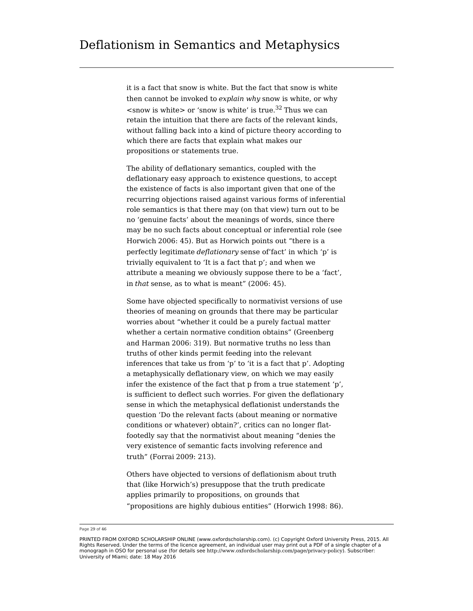it is a fact that snow is white. But the fact that snow is white then cannot be invoked to explain why snow is white, or why  $\leq$ snow is white $>$  or 'snow is white' is true.<sup>32</sup> Thus we can retain the intuition that there are facts of the relevant kinds, without falling back into a kind of picture theory according to which there are facts that explain what makes our propositions or statements true.

The ability of deflationary semantics, coupled with the deflationary easy approach to existence questions, to accept the existence of facts is also important given that one of the recurring objections raised against various forms of inferential role semantics is that there may (on that view) turn out to be no 'genuine facts' about the meanings of words, since there may be no such facts about conceptual or inferential role (see Horwich 2006: 45). But as Horwich points out "there is a perfectly legitimate deflationary sense of'fact' in which 'p' is trivially equivalent to 'It is a fact that p'; and when we attribute a meaning we obviously suppose there to be a 'fact', in that sense, as to what is meant" (2006: 45).

Some have objected specifically to normativist versions of use theories of meaning on grounds that there may be particular worries about "whether it could be a purely factual matter whether a certain normative condition obtains" (Greenberg and Harman 2006: 319). But normative truths no less than truths of other kinds permit feeding into the relevant inferences that take us from 'p' to 'it is a fact that p'. Adopting a metaphysically deflationary view, on which we may easily infer the existence of the fact that p from a true statement 'p', is sufficient to deflect such worries. For given the deflationary sense in which the metaphysical deflationist understands the question 'Do the relevant facts (about meaning or normative conditions or whatever) obtain?', critics can no longer flatfootedly say that the normativist about meaning "denies the very existence of semantic facts involving reference and truth" (Forrai 2009: 213).

Others have objected to versions of deflationism about truth that (like Horwich's) presuppose that the truth predicate applies primarily to propositions, on grounds that "propositions are highly dubious entities" (Horwich 1998: 86).

Page 29 of 46

PRINTED FROM OXFORD SCHOLARSHIP ONLINE (www.oxfordscholarship.com). (c) Copyright Oxford University Press, 2015. All Rights Reserved. Under the terms of the licence agreement, an individual user may print out a PDF of a single chapter of a monograph in OSO for personal use (for details see http://www.oxfordscholarship.com/page/privacy-policy). Subscriber: University of Miami; date: 18 May 2016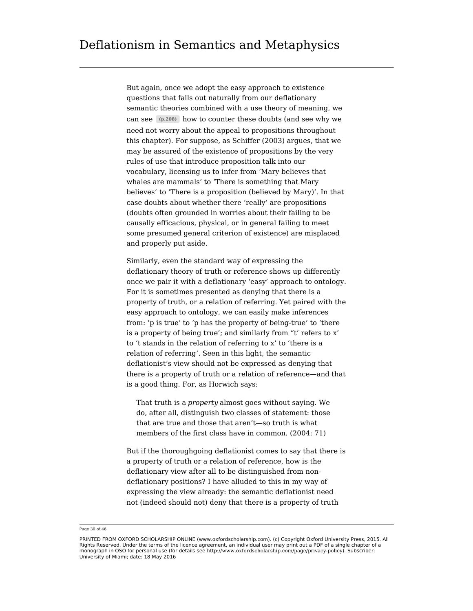But again, once we adopt the easy approach to existence questions that falls out naturally from our deflationary semantic theories combined with a use theory of meaning, we can see (p.208) how to counter these doubts (and see why we need not worry about the appeal to propositions throughout this chapter). For suppose, as Schiffer (2003) argues, that we may be assured of the existence of propositions by the very rules of use that introduce proposition talk into our vocabulary, licensing us to infer from 'Mary believes that whales are mammals' to 'There is something that Mary believes' to 'There is a proposition (believed by Mary)'. In that case doubts about whether there 'really' are propositions (doubts often grounded in worries about their failing to be causally efficacious, physical, or in general failing to meet some presumed general criterion of existence) are misplaced and properly put aside.

Similarly, even the standard way of expressing the deflationary theory of truth or reference shows up differently once we pair it with a deflationary 'easy' approach to ontology. For it is sometimes presented as denying that there is a property of truth, or a relation of referring. Yet paired with the easy approach to ontology, we can easily make inferences from: 'p is true' to 'p has the property of being-true' to 'there is a property of being true'; and similarly from "t' refers to x' to 't stands in the relation of referring to x' to 'there is a relation of referring'. Seen in this light, the semantic deflationist's view should not be expressed as denying that there is a property of truth or a relation of reference—and that is a good thing. For, as Horwich says:

That truth is a property almost goes without saying. We do, after all, distinguish two classes of statement: those that are true and those that aren't—so truth is what members of the first class have in common. (2004: 71)

But if the thoroughgoing deflationist comes to say that there is a property of truth or a relation of reference, how is the deflationary view after all to be distinguished from nondeflationary positions? I have alluded to this in my way of expressing the view already: the semantic deflationist need not (indeed should not) deny that there is a property of truth

Page 30 of 46

PRINTED FROM OXFORD SCHOLARSHIP ONLINE (www.oxfordscholarship.com). (c) Copyright Oxford University Press, 2015. All Rights Reserved. Under the terms of the licence agreement, an individual user may print out a PDF of a single chapter of a monograph in OSO for personal use (for details see http://www.oxfordscholarship.com/page/privacy-policy). Subscriber: University of Miami; date: 18 May 2016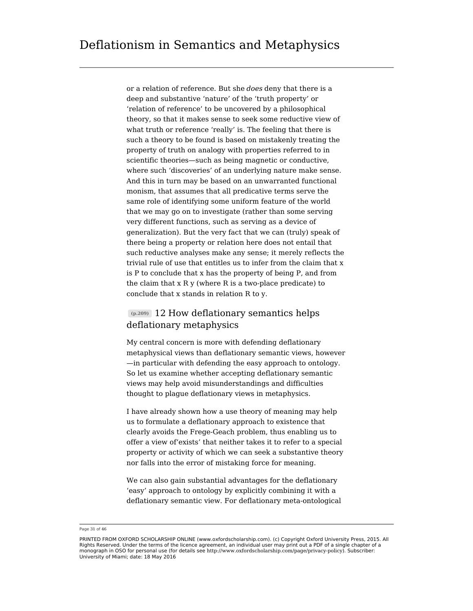or a relation of reference. But she does deny that there is a deep and substantive 'nature' of the 'truth property' or 'relation of reference' to be uncovered by a philosophical theory, so that it makes sense to seek some reductive view of what truth or reference 'really' is. The feeling that there is such a theory to be found is based on mistakenly treating the property of truth on analogy with properties referred to in scientific theories—such as being magnetic or conductive, where such 'discoveries' of an underlying nature make sense. And this in turn may be based on an unwarranted functional monism, that assumes that all predicative terms serve the same role of identifying some uniform feature of the world that we may go on to investigate (rather than some serving very different functions, such as serving as a device of generalization). But the very fact that we can (truly) speak of there being a property or relation here does not entail that such reductive analyses make any sense; it merely reflects the trivial rule of use that entitles us to infer from the claim that x is P to conclude that x has the property of being P, and from the claim that  $x R y$  (where  $R$  is a two-place predicate) to conclude that x stands in relation R to y.

### (p.209) 12 How deflationary semantics helps deflationary metaphysics

My central concern is more with defending deflationary metaphysical views than deflationary semantic views, however —in particular with defending the easy approach to ontology. So let us examine whether accepting deflationary semantic views may help avoid misunderstandings and difficulties thought to plague deflationary views in metaphysics.

I have already shown how a use theory of meaning may help us to formulate a deflationary approach to existence that clearly avoids the Frege-Geach problem, thus enabling us to offer a view of'exists' that neither takes it to refer to a special property or activity of which we can seek a substantive theory nor falls into the error of mistaking force for meaning.

We can also gain substantial advantages for the deflationary 'easy' approach to ontology by explicitly combining it with a deflationary semantic view. For deflationary meta-ontological

Page 31 of 46

PRINTED FROM OXFORD SCHOLARSHIP ONLINE (www.oxfordscholarship.com). (c) Copyright Oxford University Press, 2015. All Rights Reserved. Under the terms of the licence agreement, an individual user may print out a PDF of a single chapter of a monograph in OSO for personal use (for details see http://www.oxfordscholarship.com/page/privacy-policy). Subscriber: University of Miami; date: 18 May 2016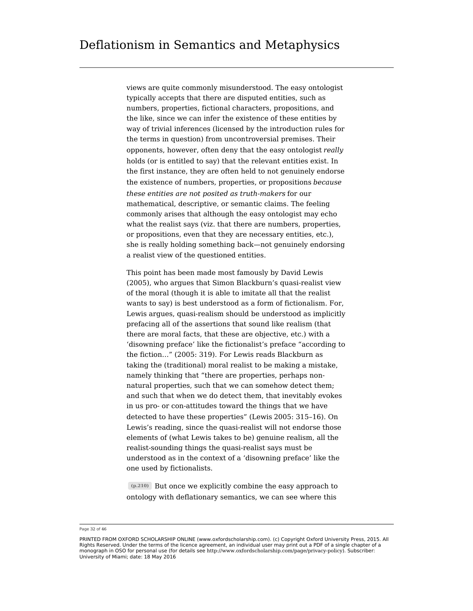views are quite commonly misunderstood. The easy ontologist typically accepts that there are disputed entities, such as numbers, properties, fictional characters, propositions, and the like, since we can infer the existence of these entities by way of trivial inferences (licensed by the introduction rules for the terms in question) from uncontroversial premises. Their opponents, however, often deny that the easy ontologist really holds (or is entitled to say) that the relevant entities exist. In the first instance, they are often held to not genuinely endorse the existence of numbers, properties, or propositions because these entities are not posited as truth-makers for our mathematical, descriptive, or semantic claims. The feeling commonly arises that although the easy ontologist may echo what the realist says (viz. that there are numbers, properties, or propositions, even that they are necessary entities, etc.), she is really holding something back—not genuinely endorsing a realist view of the questioned entities.

This point has been made most famously by David Lewis (2005), who argues that Simon Blackburn's quasi-realist view of the moral (though it is able to imitate all that the realist wants to say) is best understood as a form of fictionalism. For, Lewis argues, quasi-realism should be understood as implicitly prefacing all of the assertions that sound like realism (that there are moral facts, that these are objective, etc.) with a 'disowning preface' like the fictionalist's preface "according to the fiction…" (2005: 319). For Lewis reads Blackburn as taking the (traditional) moral realist to be making a mistake, namely thinking that "there are properties, perhaps nonnatural properties, such that we can somehow detect them; and such that when we do detect them, that inevitably evokes in us pro- or con-attitudes toward the things that we have detected to have these properties" (Lewis 2005: 315–16). On Lewis's reading, since the quasi-realist will not endorse those elements of (what Lewis takes to be) genuine realism, all the realist-sounding things the quasi-realist says must be understood as in the context of a 'disowning preface' like the one used by fictionalists.

(p.210) But once we explicitly combine the easy approach to ontology with deflationary semantics, we can see where this

Page 32 of 46

PRINTED FROM OXFORD SCHOLARSHIP ONLINE (www.oxfordscholarship.com). (c) Copyright Oxford University Press, 2015. All Rights Reserved. Under the terms of the licence agreement, an individual user may print out a PDF of a single chapter of a monograph in OSO for personal use (for details see http://www.oxfordscholarship.com/page/privacy-policy). Subscriber: University of Miami; date: 18 May 2016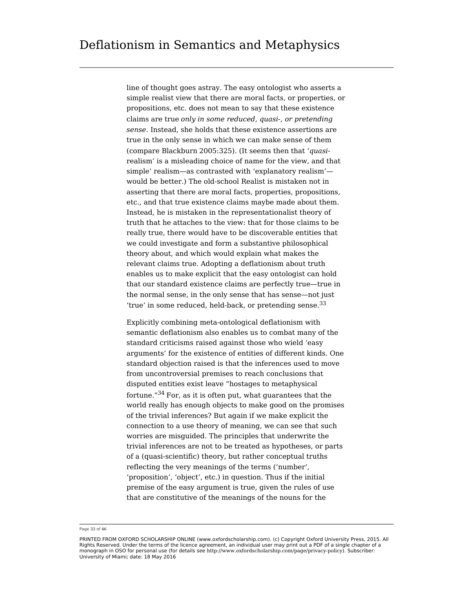line of thought goes astray. The easy ontologist who asserts a simple realist view that there are moral facts, or properties, or propositions, etc. does not mean to say that these existence claims are true only in some reduced, quasi-, or pretending sense. Instead, she holds that these existence assertions are true in the only sense in which we can make sense of them (compare Blackburn 2005:325). (It seems then that 'quasirealism' is a misleading choice of name for the view, and that simple' realism—as contrasted with 'explanatory realism' would be better.) The old-school Realist is mistaken not in asserting that there are moral facts, properties, propositions, etc., and that true existence claims maybe made about them. Instead, he is mistaken in the representationalist theory of truth that he attaches to the view: that for those claims to be really true, there would have to be discoverable entities that we could investigate and form a substantive philosophical theory about, and which would explain what makes the relevant claims true. Adopting a deflationism about truth enables us to make explicit that the easy ontologist can hold that our standard existence claims are perfectly true—true in the normal sense, in the only sense that has sense—not just 'true' in some reduced, held-back, or pretending sense.<sup>33</sup>

Explicitly combining meta-ontological deflationism with semantic deflationism also enables us to combat many of the standard criticisms raised against those who wield 'easy arguments' for the existence of entities of different kinds. One standard objection raised is that the inferences used to move from uncontroversial premises to reach conclusions that disputed entities exist leave "hostages to metaphysical fortune."34 For, as it is often put, what guarantees that the world really has enough objects to make good on the promises of the trivial inferences? But again if we make explicit the connection to a use theory of meaning, we can see that such worries are misguided. The principles that underwrite the trivial inferences are not to be treated as hypotheses, or parts of a (quasi-scientific) theory, but rather conceptual truths reflecting the very meanings of the terms ('number', 'proposition', 'object', etc.) in question. Thus if the initial premise of the easy argument is true, given the rules of use that are constitutive of the meanings of the nouns for the

Page 33 of 46

PRINTED FROM OXFORD SCHOLARSHIP ONLINE (www.oxfordscholarship.com). (c) Copyright Oxford University Press, 2015. All Rights Reserved. Under the terms of the licence agreement, an individual user may print out a PDF of a single chapter of a monograph in OSO for personal use (for details see http://www.oxfordscholarship.com/page/privacy-policy). Subscriber: University of Miami; date: 18 May 2016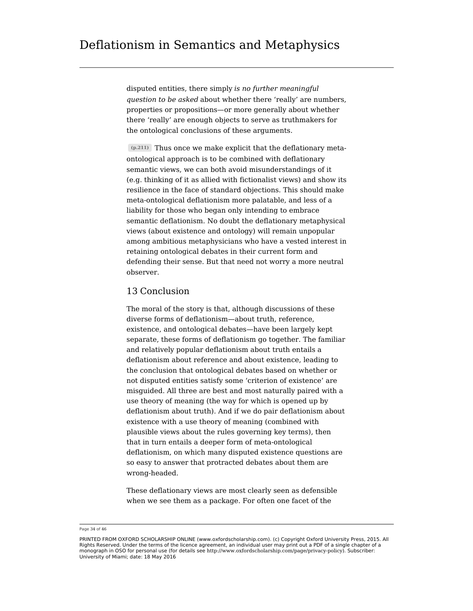disputed entities, there simply is no further meaningful question to be asked about whether there 'really' are numbers, properties or propositions—or more generally about whether there 'really' are enough objects to serve as truthmakers for the ontological conclusions of these arguments.

 $(p.211)$  Thus once we make explicit that the deflationary metaontological approach is to be combined with deflationary semantic views, we can both avoid misunderstandings of it (e.g. thinking of it as allied with fictionalist views) and show its resilience in the face of standard objections. This should make meta-ontological deflationism more palatable, and less of a liability for those who began only intending to embrace semantic deflationism. No doubt the deflationary metaphysical views (about existence and ontology) will remain unpopular among ambitious metaphysicians who have a vested interest in retaining ontological debates in their current form and defending their sense. But that need not worry a more neutral observer.

#### 13 Conclusion

The moral of the story is that, although discussions of these diverse forms of deflationism—about truth, reference, existence, and ontological debates—have been largely kept separate, these forms of deflationism go together. The familiar and relatively popular deflationism about truth entails a deflationism about reference and about existence, leading to the conclusion that ontological debates based on whether or not disputed entities satisfy some 'criterion of existence' are misguided. All three are best and most naturally paired with a use theory of meaning (the way for which is opened up by deflationism about truth). And if we do pair deflationism about existence with a use theory of meaning (combined with plausible views about the rules governing key terms), then that in turn entails a deeper form of meta-ontological deflationism, on which many disputed existence questions are so easy to answer that protracted debates about them are wrong-headed.

These deflationary views are most clearly seen as defensible when we see them as a package. For often one facet of the

Page 34 of 46

PRINTED FROM OXFORD SCHOLARSHIP ONLINE (www.oxfordscholarship.com). (c) Copyright Oxford University Press, 2015. All Rights Reserved. Under the terms of the licence agreement, an individual user may print out a PDF of a single chapter of a monograph in OSO for personal use (for details see http://www.oxfordscholarship.com/page/privacy-policy). Subscriber: University of Miami; date: 18 May 2016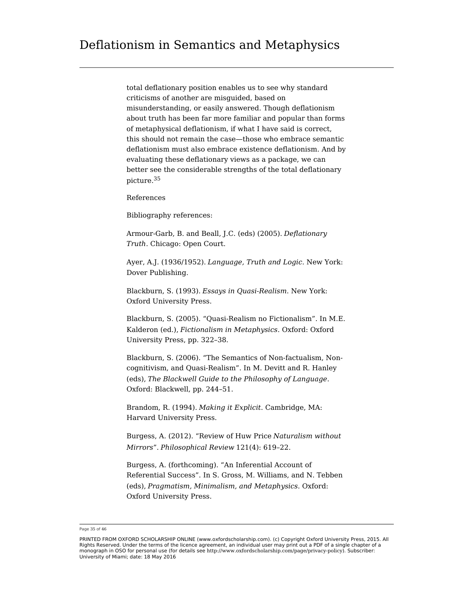total deflationary position enables us to see why standard criticisms of another are misguided, based on misunderstanding, or easily answered. Though deflationism about truth has been far more familiar and popular than forms of metaphysical deflationism, if what I have said is correct, this should not remain the case—those who embrace semantic deflationism must also embrace existence deflationism. And by evaluating these deflationary views as a package, we can better see the considerable strengths of the total deflationary picture.35

References

Bibliography references:

Armour-Garb, B. and Beall, J.C. (eds) (2005). Deflationary Truth. Chicago: Open Court.

Ayer, A.J. (1936/1952). Language, Truth and Logic. New York: Dover Publishing.

Blackburn, S. (1993). Essays in Quasi-Realism. New York: Oxford University Press.

Blackburn, S. (2005). "Quasi-Realism no Fictionalism". In M.E. Kalderon (ed.), Fictionalism in Metaphysics. Oxford: Oxford University Press, pp. 322–38.

Blackburn, S. (2006). "The Semantics of Non-factualism, Noncognitivism, and Quasi-Realism". In M. Devitt and R. Hanley (eds), The Blackwell Guide to the Philosophy of Language. Oxford: Blackwell, pp. 244–51.

Brandom, R. (1994). Making it Explicit. Cambridge, MA: Harvard University Press.

Burgess, A. (2012). "Review of Huw Price Naturalism without Mirrors". Philosophical Review 121(4): 619–22.

Burgess, A. (forthcoming). "An Inferential Account of Referential Success". In S. Gross, M. Williams, and N. Tebben (eds), Pragmatism, Minimalism, and Metaphysics. Oxford: Oxford University Press.

Page 35 of 46

PRINTED FROM OXFORD SCHOLARSHIP ONLINE (www.oxfordscholarship.com). (c) Copyright Oxford University Press, 2015. All Rights Reserved. Under the terms of the licence agreement, an individual user may print out a PDF of a single chapter of a monograph in OSO for personal use (for details see http://www.oxfordscholarship.com/page/privacy-policy). Subscriber: University of Miami; date: 18 May 2016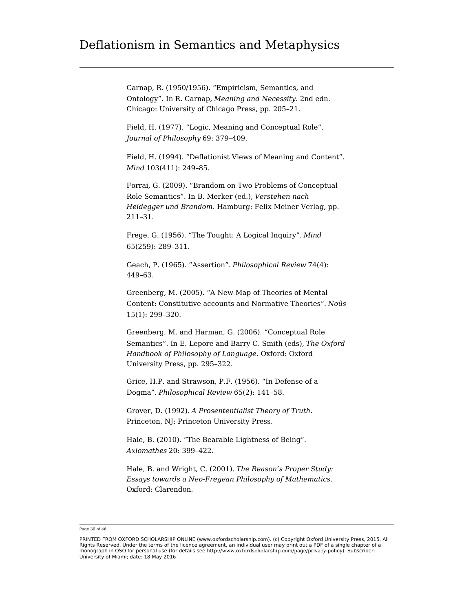Carnap, R. (1950/1956). "Empiricism, Semantics, and Ontology". In R. Carnap, Meaning and Necessity. 2nd edn. Chicago: University of Chicago Press, pp. 205–21.

Field, H. (1977). "Logic, Meaning and Conceptual Role". Journal of Philosophy 69: 379–409.

Field, H. (1994). "Deflationist Views of Meaning and Content". Mind 103(411): 249–85.

Forrai, G. (2009). "Brandom on Two Problems of Conceptual Role Semantics". In B. Merker (ed.), Verstehen nach Heidegger und Brandom. Hamburg: Felix Meiner Verlag, pp. 211–31.

Frege, G. (1956). "The Tought: A Logical Inquiry". Mind 65(259): 289–311.

Geach, P. (1965). "Assertion". Philosophical Review 74(4): 449–63.

Greenberg, M. (2005). "A New Map of Theories of Mental Content: Constitutive accounts and Normative Theories". Noûs 15(1): 299–320.

Greenberg, M. and Harman, G. (2006). "Conceptual Role Semantics". In E. Lepore and Barry C. Smith (eds), The Oxford Handbook of Philosophy of Language. Oxford: Oxford University Press, pp. 295–322.

Grice, H.P. and Strawson, P.F. (1956). "In Defense of a Dogma". Philosophical Review 65(2): 141–58.

Grover, D. (1992). A Prosententialist Theory of Truth. Princeton, NJ: Princeton University Press.

Hale, B. (2010). "The Bearable Lightness of Being". Axiomathes 20: 399–422.

Hale, B. and Wright, C. (2001). The Reason's Proper Study: Essays towards a Neo-Fregean Philosophy of Mathematics. Oxford: Clarendon.

Page 36 of 46

PRINTED FROM OXFORD SCHOLARSHIP ONLINE (www.oxfordscholarship.com). (c) Copyright Oxford University Press, 2015. All Rights Reserved. Under the terms of the licence agreement, an individual user may print out a PDF of a single chapter of a monograph in OSO for personal use (for details see http://www.oxfordscholarship.com/page/privacy-policy). Subscriber: University of Miami; date: 18 May 2016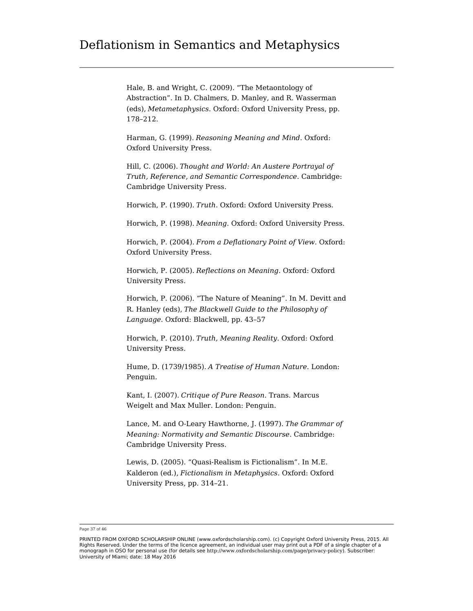Hale, B. and Wright, C. (2009). "The Metaontology of Abstraction". In D. Chalmers, D. Manley, and R. Wasserman (eds), Metametaphysics. Oxford: Oxford University Press, pp. 178–212.

Harman, G. (1999). Reasoning Meaning and Mind. Oxford: Oxford University Press.

Hill, C. (2006). Thought and World: An Austere Portrayal of Truth, Reference, and Semantic Correspondence. Cambridge: Cambridge University Press.

Horwich, P. (1990). Truth. Oxford: Oxford University Press.

Horwich, P. (1998). Meaning. Oxford: Oxford University Press.

Horwich, P. (2004). From a Deflationary Point of View. Oxford: Oxford University Press.

Horwich, P. (2005). Reflections on Meaning. Oxford: Oxford University Press.

Horwich, P. (2006). "The Nature of Meaning". In M. Devitt and R. Hanley (eds), The Blackwell Guide to the Philosophy of Language. Oxford: Blackwell, pp. 43–57

Horwich, P. (2010). Truth, Meaning Reality. Oxford: Oxford University Press.

Hume, D. (1739/1985). A Treatise of Human Nature. London: Penguin.

Kant, I. (2007). Critique of Pure Reason. Trans. Marcus Weigelt and Max Muller. London: Penguin.

Lance, M. and O-Leary Hawthorne, J. (1997). The Grammar of Meaning: Normativity and Semantic Discourse. Cambridge: Cambridge University Press.

Lewis, D. (2005). "Quasi-Realism is Fictionalism". In M.E. Kalderon (ed.), Fictionalism in Metaphysics. Oxford: Oxford University Press, pp. 314–21.

Page 37 of 46

PRINTED FROM OXFORD SCHOLARSHIP ONLINE (www.oxfordscholarship.com). (c) Copyright Oxford University Press, 2015. All Rights Reserved. Under the terms of the licence agreement, an individual user may print out a PDF of a single chapter of a monograph in OSO for personal use (for details see http://www.oxfordscholarship.com/page/privacy-policy). Subscriber: University of Miami; date: 18 May 2016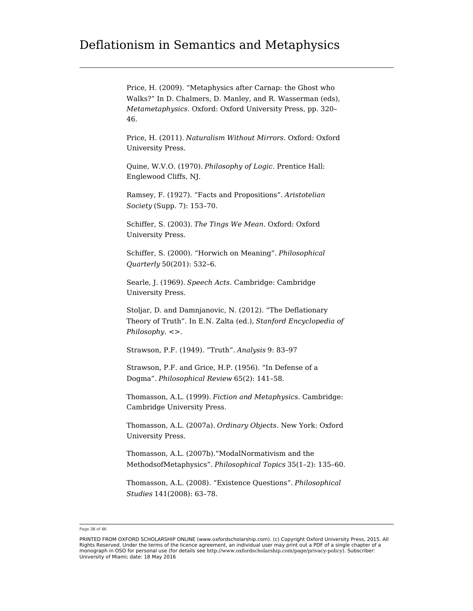Price, H. (2009). "Metaphysics after Carnap: the Ghost who Walks?" In D. Chalmers, D. Manley, and R. Wasserman (eds), Metametaphysics. Oxford: Oxford University Press, pp. 320– 46.

Price, H. (2011). Naturalism Without Mirrors. Oxford: Oxford University Press.

Quine, W.V.O. (1970). Philosophy of Logic. Prentice Hall: Englewood Cliffs, NJ.

Ramsey, F. (1927). "Facts and Propositions". Aristotelian Society (Supp. 7): 153–70.

Schiffer, S. (2003). The Tings We Mean. Oxford: Oxford University Press.

Schiffer, S. (2000). "Horwich on Meaning". Philosophical Quarterly 50(201): 532–6.

Searle, J. (1969). Speech Acts. Cambridge: Cambridge University Press.

Stoljar, D. and Damnjanovic, N. (2012). "The Deflationary Theory of Truth". In E.N. Zalta (ed.), Stanford Encyclopedia of Philosophy. <>.

Strawson, P.F. (1949). "Truth". Analysis 9: 83–97

Strawson, P.F. and Grice, H.P. (1956). "In Defense of a Dogma". Philosophical Review 65(2): 141–58.

Thomasson, A.L. (1999). Fiction and Metaphysics. Cambridge: Cambridge University Press.

Thomasson, A.L. (2007a). Ordinary Objects. New York: Oxford University Press.

Thomasson, A.L. (2007b)."ModalNormativism and the MethodsofMetaphysics". Philosophical Topics 35(1–2): 135–60.

Thomasson, A.L. (2008). "Existence Questions". Philosophical Studies 141(2008): 63–78.

Page 38 of 46

PRINTED FROM OXFORD SCHOLARSHIP ONLINE (www.oxfordscholarship.com). (c) Copyright Oxford University Press, 2015. All Rights Reserved. Under the terms of the licence agreement, an individual user may print out a PDF of a single chapter of a monograph in OSO for personal use (for details see http://www.oxfordscholarship.com/page/privacy-policy). Subscriber: University of Miami; date: 18 May 2016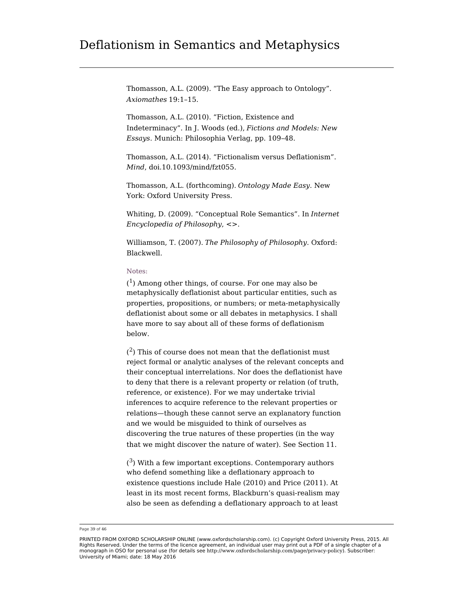Thomasson, A.L. (2009). "The Easy approach to Ontology". Axiomathes 19:1–15.

Thomasson, A.L. (2010). "Fiction, Existence and Indeterminacy". In J. Woods (ed.), Fictions and Models: New Essays. Munich: Philosophia Verlag, pp. 109–48.

Thomasson, A.L. (2014). "Fictionalism versus Deflationism". Mind, doi.10.1093/mind/fzt055.

Thomasson, A.L. (forthcoming). Ontology Made Easy. New York: Oxford University Press.

Whiting, D. (2009). "Conceptual Role Semantics". In Internet Encyclopedia of Philosophy, <>.

Williamson, T. (2007). The Philosophy of Philosophy. Oxford: Blackwell.

#### Notes:

 $(1)$  Among other things, of course. For one may also be metaphysically deflationist about particular entities, such as properties, propositions, or numbers; or meta-metaphysically deflationist about some or all debates in metaphysics. I shall have more to say about all of these forms of deflationism below.

 $(2)$  This of course does not mean that the deflationist must reject formal or analytic analyses of the relevant concepts and their conceptual interrelations. Nor does the deflationist have to deny that there is a relevant property or relation (of truth, reference, or existence). For we may undertake trivial inferences to acquire reference to the relevant properties or relations—though these cannot serve an explanatory function and we would be misguided to think of ourselves as discovering the true natures of these properties (in the way that we might discover the nature of water). See Section 11.

 $(3)$  With a few important exceptions. Contemporary authors who defend something like a deflationary approach to existence questions include Hale (2010) and Price (2011). At least in its most recent forms, Blackburn's quasi-realism may also be seen as defending a deflationary approach to at least

Page 39 of 46

PRINTED FROM OXFORD SCHOLARSHIP ONLINE (www.oxfordscholarship.com). (c) Copyright Oxford University Press, 2015. All Rights Reserved. Under the terms of the licence agreement, an individual user may print out a PDF of a single chapter of a monograph in OSO for personal use (for details see http://www.oxfordscholarship.com/page/privacy-policy). Subscriber: University of Miami; date: 18 May 2016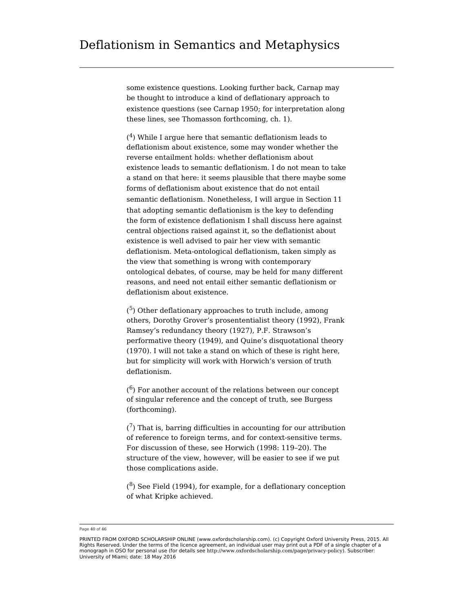some existence questions. Looking further back, Carnap may be thought to introduce a kind of deflationary approach to existence questions (see Carnap 1950; for interpretation along these lines, see Thomasson forthcoming, ch. 1).

( 4) While I argue here that semantic deflationism leads to deflationism about existence, some may wonder whether the reverse entailment holds: whether deflationism about existence leads to semantic deflationism. I do not mean to take a stand on that here: it seems plausible that there maybe some forms of deflationism about existence that do not entail semantic deflationism. Nonetheless, I will argue in Section 11 that adopting semantic deflationism is the key to defending the form of existence deflationism I shall discuss here against central objections raised against it, so the deflationist about existence is well advised to pair her view with semantic deflationism. Meta-ontological deflationism, taken simply as the view that something is wrong with contemporary ontological debates, of course, may be held for many different reasons, and need not entail either semantic deflationism or deflationism about existence.

 $(5)$  Other deflationary approaches to truth include, among others, Dorothy Grover's prosententialist theory (1992), Frank Ramsey's redundancy theory (1927), P.F. Strawson's performative theory (1949), and Quine's disquotational theory (1970). I will not take a stand on which of these is right here, but for simplicity will work with Horwich's version of truth deflationism.

 $(6)$  For another account of the relations between our concept of singular reference and the concept of truth, see Burgess (forthcoming).

 $(7)$  That is, barring difficulties in accounting for our attribution of reference to foreign terms, and for context-sensitive terms. For discussion of these, see Horwich (1998: 119–20). The structure of the view, however, will be easier to see if we put those complications aside.

 $(8)$  See Field (1994), for example, for a deflationary conception of what Kripke achieved.

Page 40 of 46

PRINTED FROM OXFORD SCHOLARSHIP ONLINE (www.oxfordscholarship.com). (c) Copyright Oxford University Press, 2015. All Rights Reserved. Under the terms of the licence agreement, an individual user may print out a PDF of a single chapter of a monograph in OSO for personal use (for details see http://www.oxfordscholarship.com/page/privacy-policy). Subscriber: University of Miami; date: 18 May 2016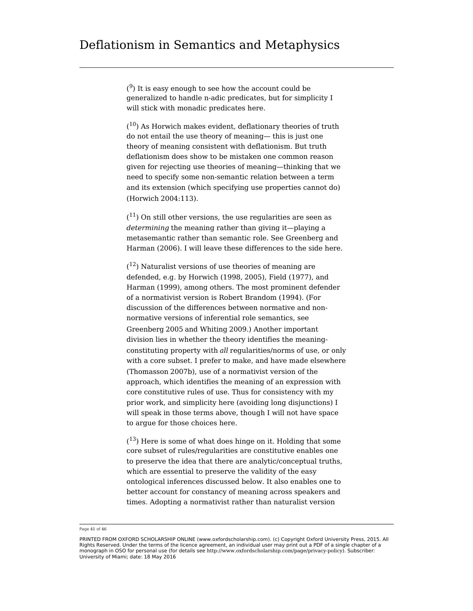$(9)$  It is easy enough to see how the account could be generalized to handle n-adic predicates, but for simplicity I will stick with monadic predicates here.

 $(10)$  As Horwich makes evident, deflationary theories of truth do not entail the use theory of meaning— this is just one theory of meaning consistent with deflationism. But truth deflationism does show to be mistaken one common reason given for rejecting use theories of meaning—thinking that we need to specify some non-semantic relation between a term and its extension (which specifying use properties cannot do) (Horwich 2004:113).

 $(11)$  On still other versions, the use regularities are seen as determining the meaning rather than giving it—playing a metasemantic rather than semantic role. See Greenberg and Harman (2006). I will leave these differences to the side here.

 $(1<sup>2</sup>)$  Naturalist versions of use theories of meaning are defended, e.g. by Horwich (1998, 2005), Field (1977), and Harman (1999), among others. The most prominent defender of a normativist version is Robert Brandom (1994). (For discussion of the differences between normative and nonnormative versions of inferential role semantics, see Greenberg 2005 and Whiting 2009.) Another important division lies in whether the theory identifies the meaningconstituting property with all regularities/norms of use, or only with a core subset. I prefer to make, and have made elsewhere (Thomasson 2007b), use of a normativist version of the approach, which identifies the meaning of an expression with core constitutive rules of use. Thus for consistency with my prior work, and simplicity here (avoiding long disjunctions) I will speak in those terms above, though I will not have space to argue for those choices here.

 $(1<sup>3</sup>)$  Here is some of what does hinge on it. Holding that some core subset of rules/regularities are constitutive enables one to preserve the idea that there are analytic/conceptual truths, which are essential to preserve the validity of the easy ontological inferences discussed below. It also enables one to better account for constancy of meaning across speakers and times. Adopting a normativist rather than naturalist version

Page 41 of 46

PRINTED FROM OXFORD SCHOLARSHIP ONLINE (www.oxfordscholarship.com). (c) Copyright Oxford University Press, 2015. All Rights Reserved. Under the terms of the licence agreement, an individual user may print out a PDF of a single chapter of a monograph in OSO for personal use (for details see http://www.oxfordscholarship.com/page/privacy-policy). Subscriber: University of Miami; date: 18 May 2016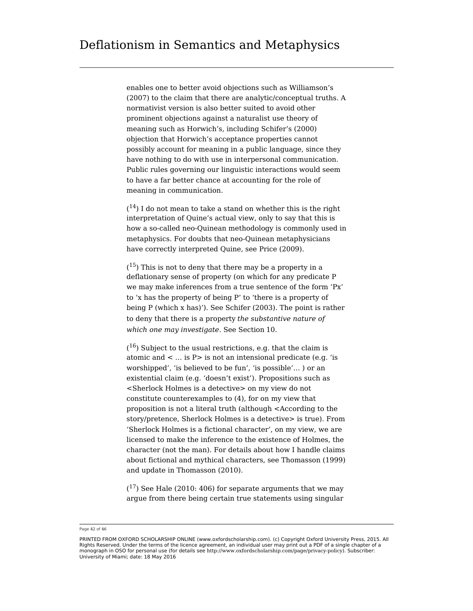enables one to better avoid objections such as Williamson's (2007) to the claim that there are analytic/conceptual truths. A normativist version is also better suited to avoid other prominent objections against a naturalist use theory of meaning such as Horwich's, including Schifer's (2000) objection that Horwich's acceptance properties cannot possibly account for meaning in a public language, since they have nothing to do with use in interpersonal communication. Public rules governing our linguistic interactions would seem to have a far better chance at accounting for the role of meaning in communication.

 $(14)$  I do not mean to take a stand on whether this is the right interpretation of Quine's actual view, only to say that this is how a so-called neo-Quinean methodology is commonly used in metaphysics. For doubts that neo-Quinean metaphysicians have correctly interpreted Quine, see Price (2009).

 $(15)$  This is not to deny that there may be a property in a deflationary sense of property (on which for any predicate P we may make inferences from a true sentence of the form 'Px' to 'x has the property of being P' to 'there is a property of being P (which x has)'). See Schifer (2003). The point is rather to deny that there is a property the substantive nature of which one may investigate. See Section 10.

 $(16)$  Subject to the usual restrictions, e.g. that the claim is atomic and < … is P> is not an intensional predicate (e.g. 'is worshipped', 'is believed to be fun', 'is possible'… ) or an existential claim (e.g. 'doesn't exist'). Propositions such as <Sherlock Holmes is a detective> on my view do not constitute counterexamples to (4), for on my view that proposition is not a literal truth (although <According to the story/pretence, Sherlock Holmes is a detective> is true). From 'Sherlock Holmes is a fictional character', on my view, we are licensed to make the inference to the existence of Holmes, the character (not the man). For details about how I handle claims about fictional and mythical characters, see Thomasson (1999) and update in Thomasson (2010).

 $(17)$  See Hale (2010: 406) for separate arguments that we may argue from there being certain true statements using singular

Page 42 of 46

PRINTED FROM OXFORD SCHOLARSHIP ONLINE (www.oxfordscholarship.com). (c) Copyright Oxford University Press, 2015. All Rights Reserved. Under the terms of the licence agreement, an individual user may print out a PDF of a single chapter of a monograph in OSO for personal use (for details see http://www.oxfordscholarship.com/page/privacy-policy). Subscriber: University of Miami; date: 18 May 2016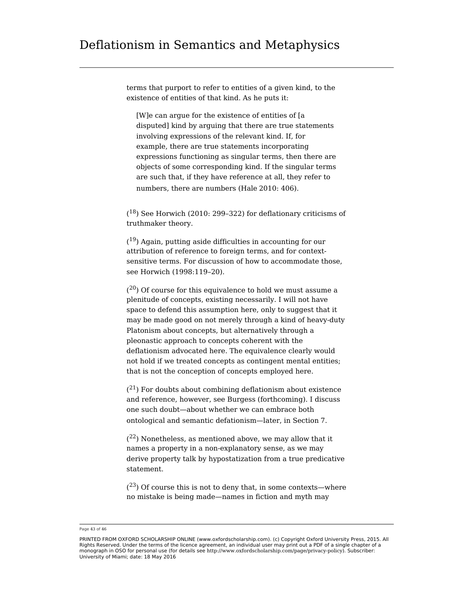terms that purport to refer to entities of a given kind, to the existence of entities of that kind. As he puts it:

[W]e can argue for the existence of entities of [a disputed] kind by arguing that there are true statements involving expressions of the relevant kind. If, for example, there are true statements incorporating expressions functioning as singular terms, then there are objects of some corresponding kind. If the singular terms are such that, if they have reference at all, they refer to numbers, there are numbers (Hale 2010: 406).

 $(18)$  See Horwich (2010: 299-322) for deflationary criticisms of truthmaker theory.

 $(19)$  Again, putting aside difficulties in accounting for our attribution of reference to foreign terms, and for contextsensitive terms. For discussion of how to accommodate those, see Horwich (1998:119–20).

 $(20)$  Of course for this equivalence to hold we must assume a plenitude of concepts, existing necessarily. I will not have space to defend this assumption here, only to suggest that it may be made good on not merely through a kind of heavy-duty Platonism about concepts, but alternatively through a pleonastic approach to concepts coherent with the deflationism advocated here. The equivalence clearly would not hold if we treated concepts as contingent mental entities; that is not the conception of concepts employed here.

 $(2<sup>1</sup>)$  For doubts about combining deflationism about existence and reference, however, see Burgess (forthcoming). I discuss one such doubt—about whether we can embrace both ontological and semantic defationism—later, in Section 7.

 $(22)$  Nonetheless, as mentioned above, we may allow that it names a property in a non-explanatory sense, as we may derive property talk by hypostatization from a true predicative statement.

 $(2<sup>3</sup>)$  Of course this is not to deny that, in some contexts—where no mistake is being made—names in fiction and myth may

Page 43 of 46

PRINTED FROM OXFORD SCHOLARSHIP ONLINE (www.oxfordscholarship.com). (c) Copyright Oxford University Press, 2015. All Rights Reserved. Under the terms of the licence agreement, an individual user may print out a PDF of a single chapter of a monograph in OSO for personal use (for details see http://www.oxfordscholarship.com/page/privacy-policy). Subscriber: University of Miami; date: 18 May 2016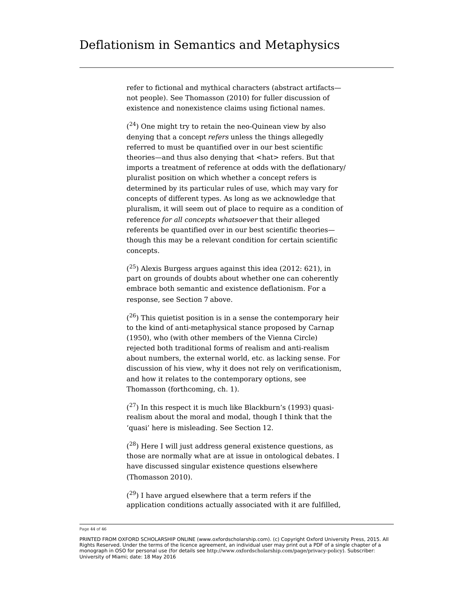refer to fictional and mythical characters (abstract artifacts not people). See Thomasson (2010) for fuller discussion of existence and nonexistence claims using fictional names.

 $(24)$  One might try to retain the neo-Quinean view by also denying that a concept refers unless the things allegedly referred to must be quantified over in our best scientific theories—and thus also denying that <hat> refers. But that imports a treatment of reference at odds with the deflationary/ pluralist position on which whether a concept refers is determined by its particular rules of use, which may vary for concepts of different types. As long as we acknowledge that pluralism, it will seem out of place to require as a condition of reference for all concepts whatsoever that their alleged referents be quantified over in our best scientific theories though this may be a relevant condition for certain scientific concepts.

 $(2<sup>5</sup>)$  Alexis Burgess argues against this idea (2012: 621), in part on grounds of doubts about whether one can coherently embrace both semantic and existence deflationism. For a response, see Section 7 above.

 $(26)$  This quietist position is in a sense the contemporary heir to the kind of anti-metaphysical stance proposed by Carnap (1950), who (with other members of the Vienna Circle) rejected both traditional forms of realism and anti-realism about numbers, the external world, etc. as lacking sense. For discussion of his view, why it does not rely on verificationism, and how it relates to the contemporary options, see Thomasson (forthcoming, ch. 1).

 $(27)$  In this respect it is much like Blackburn's (1993) quasirealism about the moral and modal, though I think that the 'quasi' here is misleading. See Section 12.

 $(28)$  Here I will just address general existence questions, as those are normally what are at issue in ontological debates. I have discussed singular existence questions elsewhere (Thomasson 2010).

 $(29)$  I have argued elsewhere that a term refers if the application conditions actually associated with it are fulfilled,

Page 44 of 46

PRINTED FROM OXFORD SCHOLARSHIP ONLINE (www.oxfordscholarship.com). (c) Copyright Oxford University Press, 2015. All Rights Reserved. Under the terms of the licence agreement, an individual user may print out a PDF of a single chapter of a monograph in OSO for personal use (for details see http://www.oxfordscholarship.com/page/privacy-policy). Subscriber: University of Miami; date: 18 May 2016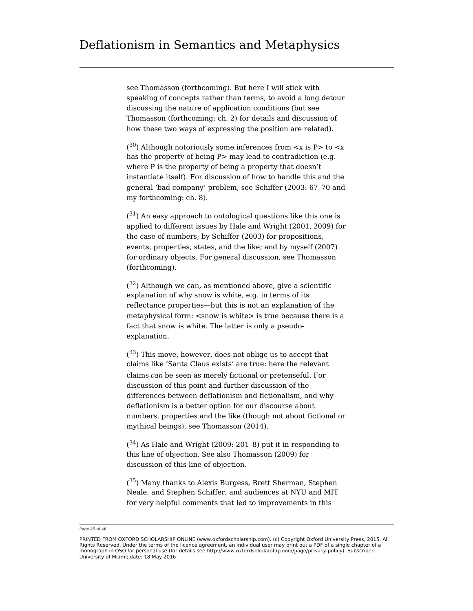see Thomasson (forthcoming). But here I will stick with speaking of concepts rather than terms, to avoid a long detour discussing the nature of application conditions (but see Thomasson (forthcoming: ch. 2) for details and discussion of how these two ways of expressing the position are related).

 $(30)$  Although notoriously some inferences from  $\langle x \rangle$  is P> to  $\langle x \rangle$ has the property of being P> may lead to contradiction (e.g. where P is the property of being a property that doesn't instantiate itself). For discussion of how to handle this and the general 'bad company' problem, see Schiffer (2003: 67–70 and my forthcoming: ch. 8).

 $(31)$  An easy approach to ontological questions like this one is applied to different issues by Hale and Wright (2001, 2009) for the case of numbers; by Schiffer (2003) for propositions, events, properties, states, and the like; and by myself (2007) for ordinary objects. For general discussion, see Thomasson (forthcoming).

 $(32)$  Although we can, as mentioned above, give a scientific explanation of why snow is white, e.g. in terms of its reflectance properties—but this is not an explanation of the metaphysical form:  $\langle$ snow is white> is true because there is a fact that snow is white. The latter is only a pseudoexplanation.

 $(33)$  This move, however, does not oblige us to accept that claims like 'Santa Claus exists' are true: here the relevant claims can be seen as merely fictional or pretenseful. For discussion of this point and further discussion of the differences between deflationism and fictionalism, and why deflationism is a better option for our discourse about numbers, properties and the like (though not about fictional or mythical beings), see Thomasson (2014).

 $(34)$  As Hale and Wright (2009: 201-8) put it in responding to this line of objection. See also Thomasson (2009) for discussion of this line of objection.

(<sup>35</sup>) Many thanks to Alexis Burgess, Brett Sherman, Stephen Neale, and Stephen Schiffer, and audiences at NYU and MIT for very helpful comments that led to improvements in this

Page 45 of 46

PRINTED FROM OXFORD SCHOLARSHIP ONLINE (www.oxfordscholarship.com). (c) Copyright Oxford University Press, 2015. All Rights Reserved. Under the terms of the licence agreement, an individual user may print out a PDF of a single chapter of a monograph in OSO for personal use (for details see http://www.oxfordscholarship.com/page/privacy-policy). Subscriber: University of Miami; date: 18 May 2016